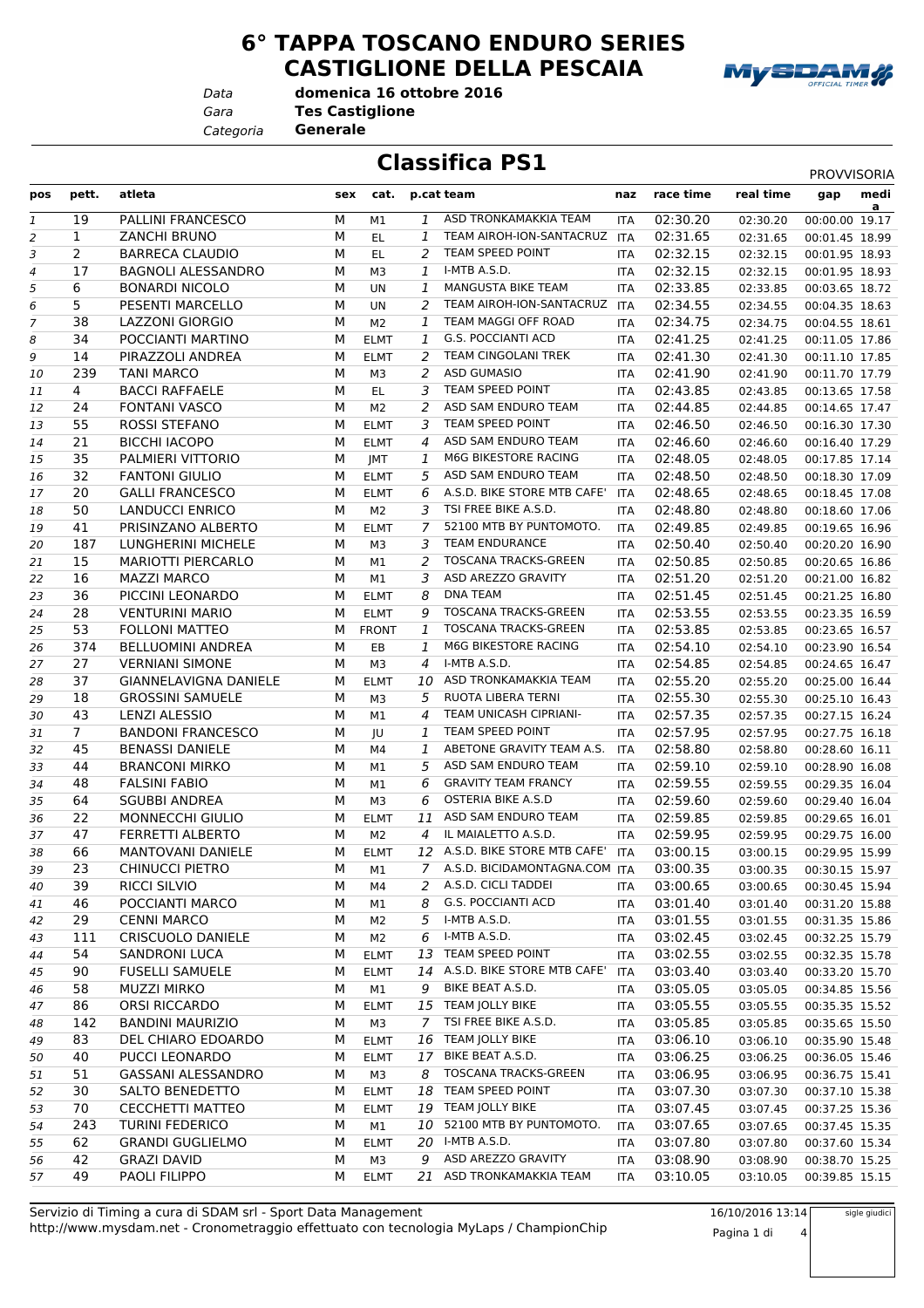**6° TAPPA TOSCANO ENDURO SERIES CASTIGLIONE DELLA PESCAIA**



*Data*

*Gara* **Tes Castiglione**

*Categoria* **Generale**

**Classifica PS1** PROVVISORIA

**domenica 16 ottobre 2016**

| pos | pett.          | atleta                    | sex    | cat.           |                | p.cat team                                          | naz        | race time            | real time | medi<br>gap    |
|-----|----------------|---------------------------|--------|----------------|----------------|-----------------------------------------------------|------------|----------------------|-----------|----------------|
|     | 19             | PALLINI FRANCESCO         | М      |                | 1              | ASD TRONKAMAKKIA TEAM                               |            | 02:30.20             |           | a              |
| 1   |                |                           |        | М1             |                | TEAM AIROH-ION-SANTACRUZ                            | <b>ITA</b> |                      | 02:30.20  | 00:00.00 19.17 |
| 2   | $\mathbf{1}$   | <b>ZANCHI BRUNO</b>       | м      | EL.            | 1              | TEAM SPEED POINT                                    | <b>ITA</b> | 02:31.65             | 02:31.65  | 00:01.45 18.99 |
| З   | 2<br>17        | <b>BARRECA CLAUDIO</b>    | M<br>M | EL.            | 2              | I-MTB A.S.D.                                        | <b>ITA</b> | 02:32.15             | 02:32.15  | 00:01.95 18.93 |
| 4   |                | <b>BAGNOLI ALESSANDRO</b> |        | M3             | 1              | MANGUSTA BIKE TEAM                                  | <b>ITA</b> | 02:32.15             | 02:32.15  | 00:01.95 18.93 |
| 5   | 6              | <b>BONARDI NICOLO</b>     | M      | UN             | 1              | TEAM AIROH-ION-SANTACRUZ                            | <b>ITA</b> | 02:33.85             | 02:33.85  | 00:03.65 18.72 |
| 6   | 5              | PESENTI MARCELLO          | M      | UN             | 2              | TEAM MAGGI OFF ROAD                                 | <b>ITA</b> | 02:34.55             | 02:34.55  | 00:04.35 18.63 |
| 7   | 38             | LAZZONI GIORGIO           | M      | M2             | 1              | <b>G.S. POCCIANTI ACD</b>                           | ITA        | 02:34.75             | 02:34.75  | 00:04.55 18.61 |
| 8   | 34             | POCCIANTI MARTINO         | М      | <b>ELMT</b>    | 1              |                                                     | ITA        | 02:41.25             | 02:41.25  | 00:11.05 17.86 |
| 9   | 14             | PIRAZZOLI ANDREA          | М      | <b>ELMT</b>    | 2              | TEAM CINGOLANI TREK<br><b>ASD GUMASIO</b>           | <b>ITA</b> | 02:41.30             | 02:41.30  | 00:11.10 17.85 |
| 10  | 239            | <b>TANI MARCO</b>         | M      | M3             | 2              | TEAM SPEED POINT                                    | ITA        | 02:41.90             | 02:41.90  | 00:11.70 17.79 |
| 11  | 4              | <b>BACCI RAFFAELE</b>     | M<br>M | EL.            | 3              | ASD SAM ENDURO TEAM                                 | ITA        | 02:43.85             | 02:43.85  | 00:13.65 17.58 |
| 12  | 24<br>55       | <b>FONTANI VASCO</b>      |        | M2             | 2<br>3         | TEAM SPEED POINT                                    | ITA        | 02:44.85             | 02:44.85  | 00:14.65 17.47 |
| 13  |                | ROSSI STEFANO             | М      | <b>ELMT</b>    |                | ASD SAM ENDURO TEAM                                 | <b>ITA</b> | 02:46.50             | 02:46.50  | 00:16.30 17.30 |
| 14  | 21             | <b>BICCHI IACOPO</b>      | М      | <b>ELMT</b>    | $\overline{4}$ | M6G BIKESTORE RACING                                | <b>ITA</b> | 02:46.60             | 02:46.60  | 00:16.40 17.29 |
| 15  | 35             | PALMIERI VITTORIO         | М      | JMT            | 1              |                                                     | <b>ITA</b> | 02:48.05             | 02:48.05  | 00:17.85 17.14 |
| 16  | 32             | <b>FANTONI GIULIO</b>     | М      | <b>ELMT</b>    | 5              | ASD SAM ENDURO TEAM<br>A.S.D. BIKE STORE MTB CAFE'  | <b>ITA</b> | 02:48.50<br>02:48.65 | 02:48.50  | 00:18.30 17.09 |
| 17  | 20<br>50       | <b>GALLI FRANCESCO</b>    | M<br>M | <b>ELMT</b>    | 6              | TSI FREE BIKE A.S.D.                                | <b>ITA</b> |                      | 02:48.65  | 00:18.45 17.08 |
| 18  |                | LANDUCCI ENRICO           |        | M2             | 3              | 52100 MTB BY PUNTOMOTO.                             | ITA        | 02:48.80             | 02:48.80  | 00:18.60 17.06 |
| 19  | 41             | PRISINZANO ALBERTO        | М      | <b>ELMT</b>    | 7              | <b>TEAM ENDURANCE</b>                               | <b>ITA</b> | 02:49.85<br>02:50.40 | 02:49.85  | 00:19.65 16.96 |
| 20  | 187            | LUNGHERINI MICHELE        | M      | M3             | 3              |                                                     | ITA        |                      | 02:50.40  | 00:20.20 16.90 |
| 21  | 15             | <b>MARIOTTI PIERCARLO</b> | M      | M1             | 2              | <b>TOSCANA TRACKS-GREEN</b><br>ASD AREZZO GRAVITY   | <b>ITA</b> | 02:50.85             | 02:50.85  | 00:20.65 16.86 |
| 22  | 16             | <b>MAZZI MARCO</b>        | M      | M1             | 3              | <b>DNA TEAM</b>                                     | <b>ITA</b> | 02:51.20             | 02:51.20  | 00:21.00 16.82 |
| 23  | 36             | PICCINI LEONARDO          | M      | <b>ELMT</b>    | 8              | <b>TOSCANA TRACKS-GREEN</b>                         | ITA        | 02:51.45             | 02:51.45  | 00:21.25 16.80 |
| 24  | 28             | <b>VENTURINI MARIO</b>    | M      | <b>ELMT</b>    | 9              |                                                     | ITA        | 02:53.55             | 02:53.55  | 00:23.35 16.59 |
| 25  | 53             | <b>FOLLONI MATTEO</b>     | М      | <b>FRONT</b>   | 1              | <b>TOSCANA TRACKS-GREEN</b><br>M6G BIKESTORE RACING | <b>ITA</b> | 02:53.85             | 02:53.85  | 00:23.65 16.57 |
| 26  | 374            | <b>BELLUOMINI ANDREA</b>  | М      | EB             | 1              |                                                     | <b>ITA</b> | 02:54.10             | 02:54.10  | 00:23.90 16.54 |
| 27  | 27             | <b>VERNIANI SIMONE</b>    | M      | M3             | 4              | I-MTB A.S.D.                                        | <b>ITA</b> | 02:54.85             | 02:54.85  | 00:24.65 16.47 |
| 28  | 37             | GIANNELAVIGNA DANIELE     | М      | <b>ELMT</b>    |                | 10 ASD TRONKAMAKKIA TEAM                            | <b>ITA</b> | 02:55.20             | 02:55.20  | 00:25.00 16.44 |
| 29  | 18             | <b>GROSSINI SAMUELE</b>   | М      | M3             | 5              | RUOTA LIBERA TERNI                                  | ITA        | 02:55.30             | 02:55.30  | 00:25.10 16.43 |
| 30  | 43             | LENZI ALESSIO             | M      | M1             | 4              | TEAM UNICASH CIPRIANI-                              | ITA        | 02:57.35             | 02:57.35  | 00:27.15 16.24 |
| 31  | 7 <sup>1</sup> | <b>BANDONI FRANCESCO</b>  | M      | JU             | 1              | TEAM SPEED POINT                                    | <b>ITA</b> | 02:57.95             | 02:57.95  | 00:27.75 16.18 |
| 32  | 45             | <b>BENASSI DANIELE</b>    | М      | M4             | 1              | ABETONE GRAVITY TEAM A.S.                           | <b>ITA</b> | 02:58.80             | 02:58.80  | 00:28.60 16.11 |
| 33  | 44             | <b>BRANCONI MIRKO</b>     | M      | M1             | 5.             | ASD SAM ENDURO TEAM                                 | <b>ITA</b> | 02:59.10             | 02:59.10  | 00:28.90 16.08 |
| 34  | 48             | <b>FALSINI FABIO</b>      | M      | M1             | 6              | <b>GRAVITY TEAM FRANCY</b>                          | ITA        | 02:59.55             | 02:59.55  | 00:29.35 16.04 |
| 35  | 64             | <b>SGUBBI ANDREA</b>      | M      | M3             | 6              | <b>OSTERIA BIKE A.S.D</b>                           | ITA        | 02:59.60             | 02:59.60  | 00:29.40 16.04 |
| 36  | 22             | MONNECCHI GIULIO          | М      | <b>ELMT</b>    | 11             | ASD SAM ENDURO TEAM<br>IL MAIALETTO A.S.D.          | ITA        | 02:59.85             | 02:59.85  | 00:29.65 16.01 |
| 37  | 47             | <b>FERRETTI ALBERTO</b>   | M      | M2             | 4              | 12 A.S.D. BIKE STORE MTB CAFE'                      | <b>ITA</b> | 02:59.95             | 02:59.95  | 00:29.75 16.00 |
| 38  | 66             | <b>MANTOVANI DANIELE</b>  | M      | <b>ELMT</b>    |                |                                                     | <b>ITA</b> | 03:00.15             | 03:00.15  | 00:29.95 15.99 |
| 39  | 23             | <b>CHINUCCI PIETRO</b>    | M      | М1             |                | 7 A.S.D. BICIDAMONTAGNA.COM ITA                     |            | 03:00.35             | 03:00.35  | 00:30.15 15.97 |
| 40  | 39             | RICCI SILVIO              | M      | M4             | 2              | A.S.D. CICLI TADDEI                                 | ITA        | 03:00.65             | 03:00.65  | 00:30.45 15.94 |
| 41  | 46             | POCCIANTI MARCO           | М      | M1             | 8              | G.S. POCCIANTI ACD                                  | ITA        | 03:01.40             | 03:01.40  | 00:31.20 15.88 |
| 42  | 29             | <b>CENNI MARCO</b>        | M      | M2             | 5              | I-MTB A.S.D.                                        | ITA        | 03:01.55             | 03:01.55  | 00:31.35 15.86 |
| 43  | 111            | CRISCUOLO DANIELE         | M      | M <sub>2</sub> | 6              | I-MTB A.S.D.                                        | ITA        | 03:02.45             | 03:02.45  | 00:32.25 15.79 |
| 44  | 54             | <b>SANDRONI LUCA</b>      | М      | <b>ELMT</b>    | 13             | TEAM SPEED POINT                                    | ITA        | 03:02.55             | 03:02.55  | 00:32.35 15.78 |
| 45  | 90             | <b>FUSELLI SAMUELE</b>    | M      | <b>ELMT</b>    |                | 14 A.S.D. BIKE STORE MTB CAFE'                      | ITA        | 03:03.40             | 03:03.40  | 00:33.20 15.70 |
| 46  | 58             | <b>MUZZI MIRKO</b>        | М      | M1             | 9              | BIKE BEAT A.S.D.                                    | ITA        | 03:05.05             | 03:05.05  | 00:34.85 15.56 |
| 47  | 86             | ORSI RICCARDO             | М      | <b>ELMT</b>    |                | 15 TEAM JOLLY BIKE                                  | ITA        | 03:05.55             | 03:05.55  | 00:35.35 15.52 |
| 48  | 142            | <b>BANDINI MAURIZIO</b>   | М      | M3             | 7              | TSI FREE BIKE A.S.D.                                | <b>ITA</b> | 03:05.85             | 03:05.85  | 00:35.65 15.50 |
| 49  | 83             | DEL CHIARO EDOARDO        | М      | <b>ELMT</b>    |                | 16 TEAM JOLLY BIKE                                  | ITA        | 03:06.10             | 03:06.10  | 00:35.90 15.48 |
| 50  | 40             | PUCCI LEONARDO            | М      | <b>ELMT</b>    | 17             | BIKE BEAT A.S.D.                                    | ITA        | 03:06.25             | 03:06.25  | 00:36.05 15.46 |
| 51  | 51             | <b>GASSANI ALESSANDRO</b> | M      | M3             | 8              | <b>TOSCANA TRACKS-GREEN</b>                         | <b>ITA</b> | 03:06.95             | 03:06.95  | 00:36.75 15.41 |
| 52  | 30             | SALTO BENEDETTO           | M      | <b>ELMT</b>    |                | 18 TEAM SPEED POINT                                 | ITA        | 03:07.30             | 03:07.30  | 00:37.10 15.38 |
| 53  | 70             | CECCHETTI MATTEO          | М      | <b>ELMT</b>    |                | 19 TEAM JOLLY BIKE                                  | ITA        | 03:07.45             | 03:07.45  | 00:37.25 15.36 |
| 54  | 243            | <b>TURINI FEDERICO</b>    | М      | M1             |                | 10 52100 MTB BY PUNTOMOTO.                          | <b>ITA</b> | 03:07.65             | 03:07.65  | 00:37.45 15.35 |
| 55  | 62             | <b>GRANDI GUGLIELMO</b>   | М      | <b>ELMT</b>    |                | 20 I-MTB A.S.D.                                     | ITA        | 03:07.80             | 03:07.80  | 00:37.60 15.34 |
| 56  | 42             | <b>GRAZI DAVID</b>        | M      | M3             | 9              | ASD AREZZO GRAVITY                                  | ITA        | 03:08.90             | 03:08.90  | 00:38.70 15.25 |
| 57  | 49             | PAOLI FILIPPO             | М      | <b>ELMT</b>    |                | 21 ASD TRONKAMAKKIA TEAM                            | <b>ITA</b> | 03:10.05             | 03:10.05  | 00:39.85 15.15 |

http://www.mysdam.net - Cronometraggio effettuato con tecnologia MyLaps / ChampionChip Servizio di Timing a cura di SDAM srl - Sport Data Management 16/10/2016 13:14

Pagina 1 di 4

sigle giudici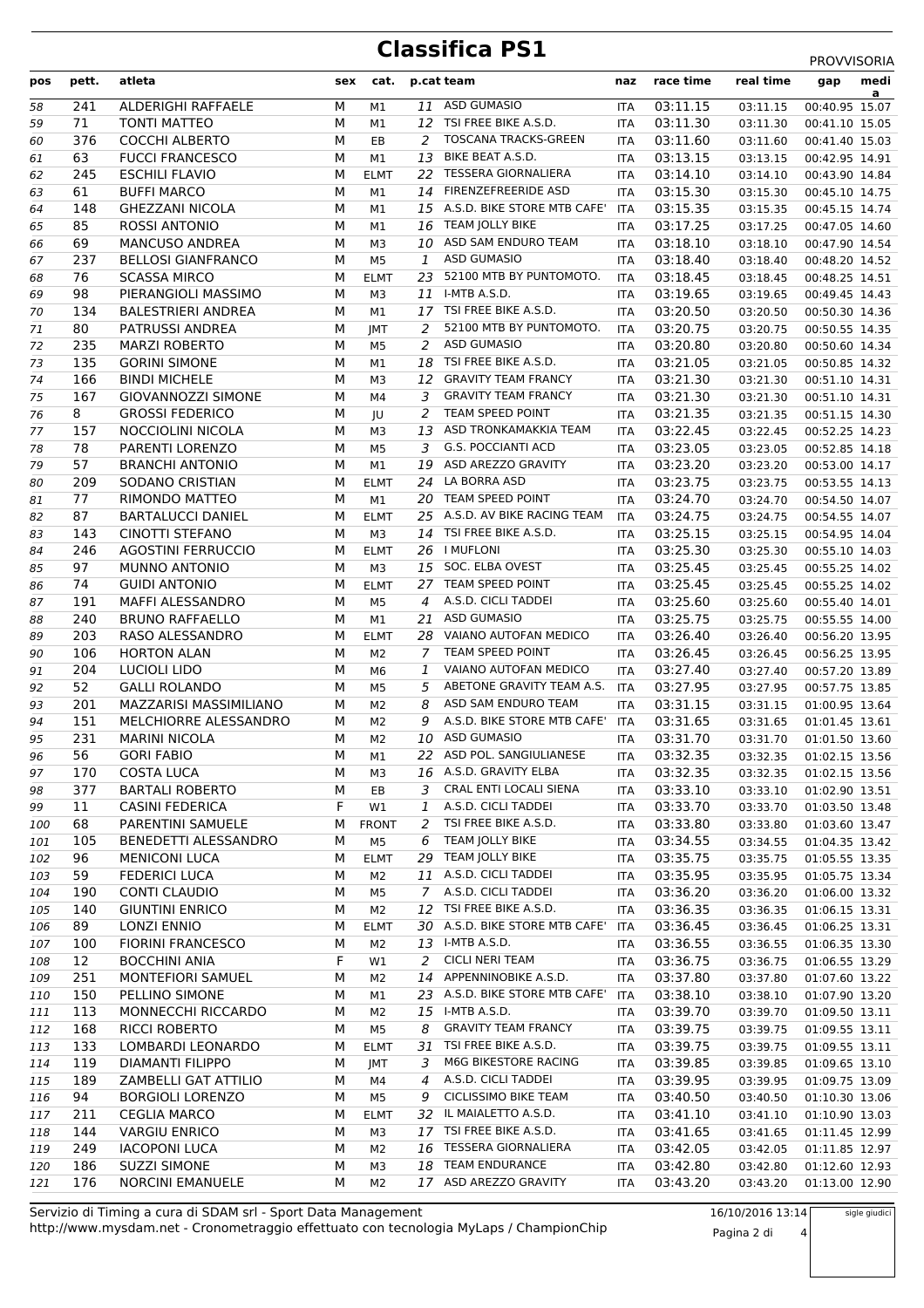## **Classifica PS1** PROVVISORIA

| pos      | pett.      | atleta                                       |        | sex cat.          |              | p.cat team                                        | naz                      | race time            | real time            | <b>FNUVVIJUNIA</b><br>medi<br>gap |
|----------|------------|----------------------------------------------|--------|-------------------|--------------|---------------------------------------------------|--------------------------|----------------------|----------------------|-----------------------------------|
| 58       | 241        | <b>ALDERIGHI RAFFAELE</b>                    | М      | M1                | 11           | <b>ASD GUMASIO</b>                                | <b>ITA</b>               | 03:11.15             | 03:11.15             | a<br>00:40.95 15.07               |
| 59       | 71         | <b>TONTI MATTEO</b>                          | М      | M1                |              | 12 TSI FREE BIKE A.S.D.                           | <b>ITA</b>               | 03:11.30             | 03:11.30             | 00:41.10 15.05                    |
| 60       | 376        | <b>COCCHI ALBERTO</b>                        | М      | EB                | 2            | <b>TOSCANA TRACKS-GREEN</b>                       | <b>ITA</b>               | 03:11.60             | 03:11.60             | 00:41.40 15.03                    |
| 61       | 63         | <b>FUCCI FRANCESCO</b>                       | М      | M1                |              | 13 BIKE BEAT A.S.D.                               | <b>ITA</b>               | 03:13.15             | 03:13.15             | 00:42.95 14.91                    |
| 62       | 245        | <b>ESCHILI FLAVIO</b>                        | M      | <b>ELMT</b>       |              | 22 TESSERA GIORNALIERA                            | <b>ITA</b>               | 03:14.10             | 03:14.10             | 00:43.90 14.84                    |
| 63       | 61         | <b>BUFFI MARCO</b>                           | М      | M1                |              | 14 FIRENZEFREERIDE ASD                            | <b>ITA</b>               | 03:15.30             | 03:15.30             | 00:45.10 14.75                    |
| 64       | 148        | <b>GHEZZANI NICOLA</b>                       | М      | M1                |              | 15 A.S.D. BIKE STORE MTB CAFE'                    | <b>ITA</b>               | 03:15.35             | 03:15.35             | 00:45.15 14.74                    |
| 65       | 85         | <b>ROSSI ANTONIO</b>                         | М      | M1                |              | 16 TEAM JOLLY BIKE                                | <b>ITA</b>               | 03:17.25             | 03:17.25             | 00:47.05 14.60                    |
| 66       | 69         | <b>MANCUSO ANDREA</b>                        | M      | M3                |              | 10 ASD SAM ENDURO TEAM                            | <b>ITA</b>               | 03:18.10             | 03:18.10             | 00:47.90 14.54                    |
| 67       | 237        | <b>BELLOSI GIANFRANCO</b>                    | М      | M <sub>5</sub>    | $\mathbf{1}$ | <b>ASD GUMASIO</b>                                | <b>ITA</b>               | 03:18.40             | 03:18.40             | 00:48.20 14.52                    |
| 68       | 76         | <b>SCASSA MIRCO</b>                          | M      | <b>ELMT</b>       |              | 23 52100 MTB BY PUNTOMOTO.                        | <b>ITA</b>               | 03:18.45             | 03:18.45             | 00:48.25 14.51                    |
| 69       | 98         | PIERANGIOLI MASSIMO                          | М      | M3                |              | 11 I-MTB A.S.D.                                   | ITA                      | 03:19.65             | 03:19.65             | 00:49.45 14.43                    |
| 70       | 134        | <b>BALESTRIERI ANDREA</b>                    | М      | M1                |              | 17 TSI FREE BIKE A.S.D.                           | <b>ITA</b>               | 03:20.50             | 03:20.50             | 00:50.30 14.36                    |
| 71       | 80         | PATRUSSI ANDREA                              | M      | JMT               | 2            | 52100 MTB BY PUNTOMOTO.                           | <b>ITA</b>               | 03:20.75             | 03:20.75             | 00:50.55 14.35                    |
| 72       | 235        | <b>MARZI ROBERTO</b>                         | M      | M5                | 2            | <b>ASD GUMASIO</b>                                | <b>ITA</b>               | 03:20.80             | 03:20.80             | 00:50.60 14.34                    |
| 73       | 135        | <b>GORINI SIMONE</b>                         | М      | M1                |              | 18 TSI FREE BIKE A.S.D.                           | <b>ITA</b>               | 03:21.05             | 03:21.05             | 00:50.85 14.32                    |
| 74       | 166        | <b>BINDI MICHELE</b>                         | М      | M3                |              | 12 GRAVITY TEAM FRANCY                            | <b>ITA</b>               | 03:21.30             | 03:21.30             | 00:51.10 14.31                    |
| 75       | 167        | <b>GIOVANNOZZI SIMONE</b>                    | М      | M4                | 3            | <b>GRAVITY TEAM FRANCY</b>                        | ITA                      | 03:21.30             | 03:21.30             | 00:51.10 14.31                    |
| 76       | 8          | <b>GROSSI FEDERICO</b>                       | М      | JU                | 2            | TEAM SPEED POINT                                  | <b>ITA</b>               | 03:21.35             | 03:21.35             | 00:51.15 14.30                    |
| 77       | 157        | NOCCIOLINI NICOLA                            | М      | M <sub>3</sub>    |              | 13 ASD TRONKAMAKKIA TEAM                          | <b>ITA</b>               | 03:22.45             | 03:22.45             | 00:52.25 14.23                    |
| 78       | 78         | PARENTI LORENZO                              | М      | M <sub>5</sub>    | 3            | <b>G.S. POCCIANTI ACD</b>                         | <b>ITA</b>               | 03:23.05             | 03:23.05             | 00:52.85 14.18                    |
| 79       | 57         | <b>BRANCHI ANTONIO</b>                       | М      | M1                |              | 19 ASD AREZZO GRAVITY                             | <b>ITA</b>               | 03:23.20             | 03:23.20             | 00:53.00 14.17                    |
| 80       | 209        | SODANO CRISTIAN                              | M      | <b>ELMT</b>       |              | 24 LA BORRA ASD                                   | <b>ITA</b>               | 03:23.75             | 03:23.75             | 00:53.55 14.13                    |
| 81       | 77         | RIMONDO MATTEO                               | М      | M1                |              | 20 TEAM SPEED POINT                               | ITA                      | 03:24.70             | 03:24.70             | 00:54.50 14.07                    |
| 82       | 87         | <b>BARTALUCCI DANIEL</b>                     | М      | <b>ELMT</b>       |              | 25 A.S.D. AV BIKE RACING TEAM                     | <b>ITA</b>               | 03:24.75             | 03:24.75             | 00:54.55 14.07                    |
| 83       | 143        | <b>CINOTTI STEFANO</b>                       | M      | M <sub>3</sub>    |              | 14 TSI FREE BIKE A.S.D.                           | <b>ITA</b>               | 03:25.15             | 03:25.15             | 00:54.95 14.04                    |
| 84       | 246        | <b>AGOSTINI FERRUCCIO</b>                    | М      | <b>ELMT</b>       |              | 26   MUFLONI                                      | ITA                      | 03:25.30             | 03:25.30             | 00:55.10 14.03                    |
| 85       | 97         | MUNNO ANTONIO                                | M      | M <sub>3</sub>    |              | 15 SOC. ELBA OVEST                                | <b>ITA</b>               | 03:25.45             | 03:25.45             | 00:55.25 14.02                    |
| 86       | 74         | <b>GUIDI ANTONIO</b>                         | M      | <b>ELMT</b>       |              | 27 TEAM SPEED POINT<br>A.S.D. CICLI TADDEI        | <b>ITA</b>               | 03:25.45             | 03:25.45             | 00:55.25 14.02                    |
| 87       | 191<br>240 | MAFFI ALESSANDRO                             | М      | M5                | 4            | 21 ASD GUMASIO                                    | ITA                      | 03:25.60<br>03:25.75 | 03:25.60             | 00:55.40 14.01                    |
| 88<br>89 | 203        | <b>BRUNO RAFFAELLO</b><br>RASO ALESSANDRO    | М<br>М | M1<br><b>ELMT</b> |              | 28 VAIANO AUTOFAN MEDICO                          | <b>ITA</b><br><b>ITA</b> | 03:26.40             | 03:25.75<br>03:26.40 | 00:55.55 14.00                    |
| 90       | 106        | <b>HORTON ALAN</b>                           | М      | M <sub>2</sub>    | 7            | TEAM SPEED POINT                                  | <b>ITA</b>               | 03:26.45             | 03:26.45             | 00:56.20 13.95<br>00:56.25 13.95  |
| 91       | 204        | <b>LUCIOLI LIDO</b>                          | М      | M6                | 1            | VAIANO AUTOFAN MEDICO                             | <b>ITA</b>               | 03:27.40             | 03:27.40             | 00:57.20 13.89                    |
| 92       | 52         | <b>GALLI ROLANDO</b>                         | М      | M <sub>5</sub>    | 5            | ABETONE GRAVITY TEAM A.S.                         | <b>ITA</b>               | 03:27.95             | 03:27.95             | 00:57.75 13.85                    |
| 93       | 201        | MAZZARISI MASSIMILIANO                       | М      | M <sub>2</sub>    | 8            | ASD SAM ENDURO TEAM                               | ITA                      | 03:31.15             | 03:31.15             | 01:00.95 13.64                    |
| 94       | 151        | MELCHIORRE ALESSANDRO                        | М      | M <sub>2</sub>    | 9            | A.S.D. BIKE STORE MTB CAFE'                       | <b>ITA</b>               | 03:31.65             | 03:31.65             | 01:01.45 13.61                    |
| 95       | 231        | <b>MARINI NICOLA</b>                         | M      | M <sub>2</sub>    |              | 10 ASD GUMASIO                                    | <b>ITA</b>               | 03:31.70             | 03:31.70             | 01:01.50 13.60                    |
| 96       | 56         | <b>GORI FABIO</b>                            | М      | M1                |              | 22 ASD POL. SANGIULIANESE                         | <b>ITA</b>               | 03:32.35             | 03:32.35             | 01:02.15 13.56                    |
| 97       | 170        | <b>COSTA LUCA</b>                            | М      | MЗ                |              | 16 A.S.D. GRAVITY ELBA                            | ITA                      | 03:32.35             | 03:32.35             | 01:02.15 13.56                    |
| 98       | 377        | <b>BARTALI ROBERTO</b>                       | М      | EB                | 3            | CRAL ENTI LOCALI SIENA                            | ITA                      | 03:33.10             | 03:33.10             | 01:02.90 13.51                    |
| 99       | 11         | <b>CASINI FEDERICA</b>                       | F      | W1                | $\mathbf{1}$ | A.S.D. CICLI TADDEI                               | ITA                      | 03:33.70             | 03:33.70             | 01:03.50 13.48                    |
| 100      | 68         | PARENTINI SAMUELE                            | М      | <b>FRONT</b>      | 2            | TSI FREE BIKE A.S.D.                              | ITA                      | 03:33.80             | 03:33.80             | 01:03.60 13.47                    |
| 101      | 105        | BENEDETTI ALESSANDRO                         | М      | M <sub>5</sub>    | 6            | TEAM JOLLY BIKE                                   | ITA                      | 03:34.55             | 03:34.55             | 01:04.35 13.42                    |
| 102      | 96         | <b>MENICONI LUCA</b>                         | М      | <b>ELMT</b>       |              | 29 TEAM JOLLY BIKE                                | ITA                      | 03:35.75             | 03:35.75             | 01:05.55 13.35                    |
| 103      | 59         | <b>FEDERICI LUCA</b>                         | М      | M2                |              | 11 A.S.D. CICLI TADDEI                            | <b>ITA</b>               | 03:35.95             | 03:35.95             | 01:05.75 13.34                    |
| 104      | 190        | CONTI CLAUDIO                                | М      | M <sub>5</sub>    |              | 7 A.S.D. CICLI TADDEI                             | <b>ITA</b>               | 03:36.20             | 03:36.20             | 01:06.00 13.32                    |
| 105      | 140        | <b>GIUNTINI ENRICO</b>                       | М      | M <sub>2</sub>    |              | 12 TSI FREE BIKE A.S.D.                           | ITA                      | 03:36.35             | 03:36.35             | 01:06.15 13.31                    |
| 106      | 89         | <b>LONZI ENNIO</b>                           | М      | <b>ELMT</b>       |              | 30 A.S.D. BIKE STORE MTB CAFE'                    | ITA                      | 03:36.45             | 03:36.45             | 01:06.25 13.31                    |
| 107      | 100        | <b>FIORINI FRANCESCO</b>                     | М      | M2                |              | 13 I-MTB A.S.D.                                   | <b>ITA</b>               | 03:36.55             | 03:36.55             | 01:06.35 13.30                    |
| 108      | 12         | <b>BOCCHINI ANIA</b>                         | F      | W1                | 2            | <b>CICLI NERI TEAM</b>                            | ITA                      | 03:36.75             | 03:36.75             | 01:06.55 13.29                    |
| 109      | 251        | MONTEFIORI SAMUEL                            | М      | M2                |              | 14 APPENNINOBIKE A.S.D.                           | <b>ITA</b>               | 03:37.80             | 03:37.80             | 01:07.60 13.22                    |
| 110      | 150        | PELLINO SIMONE                               | М      | M1                |              | 23 A.S.D. BIKE STORE MTB CAFE'                    | ITA                      | 03:38.10             | 03:38.10             | 01:07.90 13.20                    |
| 111      | 113        | MONNECCHI RICCARDO                           | М      | M <sub>2</sub>    |              | 15 I-MTB A.S.D.                                   | ITA                      | 03:39.70             | 03:39.70             | 01:09.50 13.11                    |
| 112      | 168        | RICCI ROBERTO                                | М      | M5                | 8            | <b>GRAVITY TEAM FRANCY</b>                        | ITA                      | 03:39.75             | 03:39.75             | 01:09.55 13.11                    |
| 113      | 133        | LOMBARDI LEONARDO                            | М      | <b>ELMT</b>       | 31           | TSI FREE BIKE A.S.D.                              | <b>ITA</b>               | 03:39.75             | 03:39.75             | 01:09.55 13.11                    |
| 114      | 119        | DIAMANTI FILIPPO                             | М      | <b>JMT</b>        | 3            | M6G BIKESTORE RACING                              | ITA                      | 03:39.85             | 03:39.85             | 01:09.65 13.10                    |
| 115      | 189        | ZAMBELLI GAT ATTILIO                         | М      | M4                | 4            | A.S.D. CICLI TADDEI                               | <b>ITA</b>               | 03:39.95             | 03:39.95             | 01:09.75 13.09                    |
| 116      | 94         | <b>BORGIOLI LORENZO</b>                      | М      | M <sub>5</sub>    | 9            | <b>CICLISSIMO BIKE TEAM</b>                       | ITA                      | 03:40.50             | 03:40.50             | 01:10.30 13.06                    |
| 117      | 211        | <b>CEGLIA MARCO</b>                          | М      | <b>ELMT</b>       |              | 32 IL MAIALETTO A.S.D.                            | ITA                      | 03:41.10             | 03:41.10             | 01:10.90 13.03                    |
| 118      | 144<br>249 | <b>VARGIU ENRICO</b><br><b>IACOPONI LUCA</b> | М<br>М | M3                |              | 17 TSI FREE BIKE A.S.D.<br>16 TESSERA GIORNALIERA | ITA                      | 03:41.65             | 03:41.65             | 01:11.45 12.99                    |
| 119      | 186        | <b>SUZZI SIMONE</b>                          | М      | M2                |              | 18 TEAM ENDURANCE                                 | <b>ITA</b>               | 03:42.05<br>03:42.80 | 03:42.05             | 01:11.85 12.97                    |
| 120      | 176        | <b>NORCINI EMANUELE</b>                      | М      | M3                |              | 17 ASD AREZZO GRAVITY                             | <b>ITA</b>               |                      | 03:42.80             | 01:12.60 12.93                    |
| 121      |            |                                              |        | M2                |              |                                                   | ITA                      | 03:43.20             | 03:43.20             | 01:13.00 12.90                    |

http://www.mysdam.net - Cronometraggio effettuato con tecnologia MyLaps / ChampionChip Servizio di Timing a cura di SDAM srl - Sport Data Management 16/10/2016 13:14

Pagina 2 di 4

sigle giudici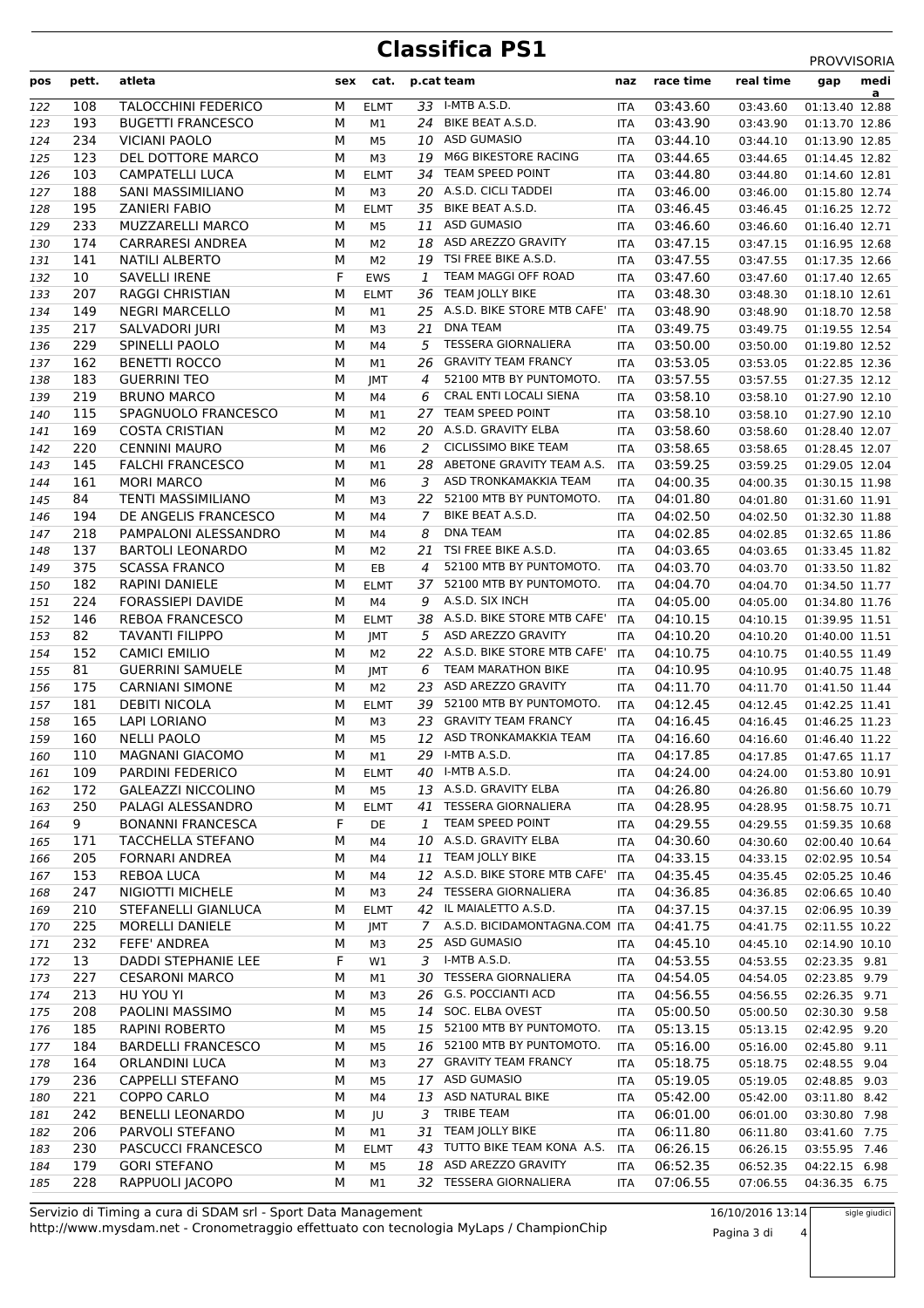## **Classifica PS1** PROVVISORIA

| a<br>33 I-MTB A.S.D.<br><b>TALOCCHINI FEDERICO</b><br>03:43.60<br>108<br>М<br><b>ELMT</b><br>03:43.60<br>01:13.40 12.88<br>122<br>ITA<br>24 BIKE BEAT A.S.D.<br>193<br>М<br>03:43.90<br><b>BUGETTI FRANCESCO</b><br>M1<br><b>ITA</b><br>01:13.70 12.86<br>123<br>03:43.90<br>234<br>М<br>10 ASD GUMASIO<br><b>VICIANI PAOLO</b><br>M <sub>5</sub><br>03:44.10<br>01:13.90 12.85<br>124<br><b>ITA</b><br>03:44.10<br>M6G BIKESTORE RACING<br>123<br>DEL DOTTORE MARCO<br>М<br>19<br>125<br>M3<br>03:44.65<br>01:14.45 12.82<br><b>ITA</b><br>03:44.65<br>34 TEAM SPEED POINT<br>103<br>CAMPATELLI LUCA<br>М<br><b>ELMT</b><br>03:44.80<br>01:14.60 12.81<br>126<br>ITA<br>03:44.80<br>188<br>20 A.S.D. CICLI TADDEI<br>SANI MASSIMILIANO<br>М<br>M <sub>3</sub><br>03:46.00<br>01:15.80 12.74<br>127<br><b>ITA</b><br>03:46.00<br>BIKE BEAT A.S.D.<br>195<br><b>ZANIERI FABIO</b><br>М<br>35<br>03:46.45<br>01:16.25 12.72<br>128<br><b>ELMT</b><br>ITA<br>03:46.45<br><b>ASD GUMASIO</b><br>233<br>M<br>03:46.60<br><b>MUZZARELLI MARCO</b><br>11<br>129<br>M5<br>ITA<br>03:46.60<br>01:16.40 12.71<br><b>CARRARESI ANDREA</b><br>18 ASD AREZZO GRAVITY<br>174<br>М<br>03:47.15<br>130<br>M2<br><b>ITA</b><br>03:47.15<br>01:16.95 12.68<br>19 TSI FREE BIKE A.S.D.<br>141<br>М<br>03:47.55<br><b>NATILI ALBERTO</b><br>131<br>M2<br>ITA<br>03:47.55<br>01:17.35 12.66<br>F<br>TEAM MAGGI OFF ROAD<br>10<br>03:47.60<br><b>SAVELLI IRENE</b><br><b>EWS</b><br>$\mathbf{1}$<br>132<br>ITA<br>03:47.60<br>01:17.40 12.65<br>207<br>36 TEAM JOLLY BIKE<br>03:48.30<br><b>RAGGI CHRISTIAN</b><br>М<br><b>ELMT</b><br>03:48.30<br>01:18.10 12.61<br>133<br><b>ITA</b><br>25 A.S.D. BIKE STORE MTB CAFE'<br>149<br><b>NEGRI MARCELLO</b><br>M<br>03:48.90<br><b>ITA</b><br>01:18.70 12.58<br>134<br>M1<br>03:48.90<br>М<br><b>DNA TEAM</b><br>217<br>SALVADORI JURI<br>21<br>03:49.75<br>135<br>M3<br>ITA<br>03:49.75<br>01:19.55 12.54<br>229<br>М<br>5<br><b>TESSERA GIORNALIERA</b><br>SPINELLI PAOLO<br>03:50.00<br>136<br>03:50.00<br>01:19.80 12.52<br>M4<br><b>ITA</b><br>26 GRAVITY TEAM FRANCY<br>162<br>М<br>03:53.05<br><b>BENETTI ROCCO</b><br>137<br>M1<br>ITA<br>03:53.05<br>01:22.85 12.36<br>183<br>М<br>52100 MTB BY PUNTOMOTO.<br>03:57.55<br><b>GUERRINI TEO</b><br>4<br>138<br>JMT<br>ITA<br>03:57.55<br>01:27.35 12.12<br>219<br>М<br>CRAL ENTI LOCALI SIENA<br>03:58.10<br><b>BRUNO MARCO</b><br>6<br>03:58.10<br>01:27.90 12.10<br>139<br>M4<br><b>ITA</b><br>TEAM SPEED POINT<br>115<br>M<br>27<br>03:58.10<br>SPAGNUOLO FRANCESCO<br>140<br>M1<br>ITA<br>03:58.10<br>01:27.90 12.10<br>169<br>20 A.S.D. GRAVITY ELBA<br>03:58.60<br><b>COSTA CRISTIAN</b><br>М<br>141<br>M2<br>ITA<br>03:58.60<br>01:28.40 12.07<br><b>CICLISSIMO BIKE TEAM</b><br>220<br><b>CENNINI MAURO</b><br>М<br>2<br>03:58.65<br>03:58.65<br>142<br>M <sub>6</sub><br><b>ITA</b><br>01:28.45 12.07<br>28 ABETONE GRAVITY TEAM A.S.<br>145<br>03:59.25<br><b>FALCHI FRANCESCO</b><br>М<br>143<br>M1<br>ITA<br>03:59.25<br>01:29.05 12.04<br>161<br>М<br>3 ASD TRONKAMAKKIA TEAM<br>04:00.35<br><b>MORI MARCO</b><br>144<br>M6<br>ITA<br>04:00.35<br>01:30.15 11.98<br>84<br>М<br>52100 MTB BY PUNTOMOTO.<br>04:01.80<br><b>TENTI MASSIMILIANO</b><br>22<br>145<br>M <sub>3</sub><br>04:01.80<br>01:31.60 11.91<br>ITA<br>BIKE BEAT A.S.D.<br>DE ANGELIS FRANCESCO<br>M<br>04:02.50<br>194<br>7<br>01:32.30 11.88<br>146<br>M4<br>ITA<br>04:02.50<br><b>DNA TEAM</b><br>04:02.85<br>218<br>PAMPALONI ALESSANDRO<br>М<br>8<br>147<br>M4<br>ITA<br>04:02.85<br>01:32.65 11.86<br>TSI FREE BIKE A.S.D.<br>04:03.65<br>137<br><b>BARTOLI LEONARDO</b><br>М<br>21<br>148<br>04:03.65<br>01:33.45 11.82<br>M <sub>2</sub><br><b>ITA</b><br>52100 MTB BY PUNTOMOTO.<br>375<br>М<br>04:03.70<br><b>SCASSA FRANCO</b><br>EB<br>149<br>4<br>ITA<br>04:03.70<br>01:33.50 11.82<br>182<br>М<br>37 52100 MTB BY PUNTOMOTO.<br>04:04.70<br>RAPINI DANIELE<br><b>ELMT</b><br>150<br>ITA<br>04:04.70<br>01:34.50 11.77<br>224<br>A.S.D. SIX INCH<br><b>FORASSIEPI DAVIDE</b><br>М<br>04:05.00<br>M4<br>9<br>01:34.80 11.76<br>151<br>ITA<br>04:05.00<br>38 A.S.D. BIKE STORE MTB CAFE'<br>146<br>04:10.15<br><b>REBOA FRANCESCO</b><br>М<br><b>ITA</b><br>152<br><b>ELMT</b><br>04:10.15<br>01:39.95 11.51<br>5 ASD AREZZO GRAVITY<br>82<br><b>TAVANTI FILIPPO</b><br>М<br>04:10.20<br>153<br>JMT<br><b>ITA</b><br>04:10.20<br>01:40.00 11.51<br>22 A.S.D. BIKE STORE MTB CAFE'<br>152<br><b>CAMICI EMILIO</b><br>М<br>04:10.75<br>154<br><b>ITA</b><br>M <sub>2</sub><br>04:10.75<br>01:40.55 11.49<br><b>TEAM MARATHON BIKE</b><br>81<br><b>GUERRINI SAMUELE</b><br>М<br>6<br>04:10.95<br>155<br>JMT<br>ITA<br>04:10.95<br>01:40.75 11.48<br>175<br>23 ASD AREZZO GRAVITY<br>04:11.70<br><b>CARNIANI SIMONE</b><br>М<br>M <sub>2</sub><br>156<br>ITA<br>04:11.70<br>01:41.50 11.44<br>52100 MTB BY PUNTOMOTO.<br>181<br><b>DEBITI NICOLA</b><br>04:12.45<br>М<br><b>ELMT</b><br>39<br>01:42.25 11.41<br>157<br>ITA<br>04:12.45<br>23 GRAVITY TEAM FRANCY<br>165<br><b>LAPI LORIANO</b><br>04:16.45<br>М<br>158<br>M3<br>ITA<br>04:16.45<br>01:46.25 11.23<br>160<br><b>NELLI PAOLO</b><br>M<br>12 ASD TRONKAMAKKIA TEAM<br>159<br>M <sub>5</sub><br><b>ITA</b><br>04:16.60<br>04:16.60<br>01:46.40 11.22<br>29 I-MTB A.S.D.<br>110<br>M<br><b>MAGNANI GIACOMO</b><br>04:17.85<br>160<br>M1<br>04:17.85<br>01:47.65 11.17<br>ITA<br>40 I-MTB A.S.D.<br>PARDINI FEDERICO<br>04:24.00<br>109<br>М<br><b>ELMT</b><br><b>ITA</b><br>04:24.00<br>01:53.80 10.91<br>161<br>13 A.S.D. GRAVITY ELBA<br>04:26.80<br>172<br><b>GALEAZZI NICCOLINO</b><br>М<br>M <sub>5</sub><br>01:56.60 10.79<br>162<br>ITA<br>04:26.80<br>41 TESSERA GIORNALIERA<br>250<br>PALAGI ALESSANDRO<br>04:28.95<br>М<br><b>ELMT</b><br>04:28.95<br>01:58.75 10.71<br>163<br>ITA<br>TEAM SPEED POINT<br>9<br>F<br>04:29.55<br><b>BONANNI FRANCESCA</b><br>164<br>DE<br>1<br>ITA<br>04:29.55<br>01:59.35 10.68<br>10 A.S.D. GRAVITY ELBA<br>04:30.60<br>171<br>TACCHELLA STEFANO<br>М<br>165<br>M4<br>ITA<br>04:30.60<br>02:00.40 10.64<br>TEAM JOLLY BIKE<br>205<br>11<br>04:33.15<br><b>FORNARI ANDREA</b><br>М<br>166<br>M4<br>ITA<br>04:33.15<br>02:02.95 10.54<br>12 A.S.D. BIKE STORE MTB CAFE'<br>153<br>М<br>04:35.45<br><b>REBOA LUCA</b><br><b>ITA</b><br>167<br>M4<br>04:35.45<br>02:05.25 10.46<br>247<br>24 TESSERA GIORNALIERA<br>04:36.85<br>NIGIOTTI MICHELE<br>М<br>M3<br>168<br>ITA<br>04:36.85<br>02:06.65 10.40<br>210<br>42 IL MAIALETTO A.S.D.<br>04:37.15<br>STEFANELLI GIANLUCA<br>М<br><b>ELMT</b><br>169<br>ITA<br>04:37.15<br>02:06.95 10.39<br>225<br>7 A.S.D. BICIDAMONTAGNA.COM ITA<br>04:41.75<br>MORELLI DANIELE<br>М<br>170<br>04:41.75<br>02:11.55 10.22<br>JMT<br>04:45.10<br>232<br>FEFE' ANDREA<br>М<br>25 ASD GUMASIO<br>171<br>M3<br>ITA<br>04:45.10<br>02:14.90 10.10<br>I-MTB A.S.D.<br>DADDI STEPHANIE LEE<br>F<br>3<br>04:53.55<br>13<br>W1<br>172<br>04:53.55<br>02:23.35 9.81<br>ITA<br>227<br>30 TESSERA GIORNALIERA<br><b>CESARONI MARCO</b><br>М<br>04:54.05<br>173<br><b>ITA</b><br>04:54.05<br>02:23.85 9.79<br>M1<br>213<br>26 G.S. POCCIANTI ACD<br>04:56.55<br>HU YOU YI<br>М<br>M3<br>04:56.55<br>02:26.35 9.71<br>174<br>ITA<br>208<br>PAOLINI MASSIMO<br>14 SOC. ELBA OVEST<br>05:00.50<br>М<br>M <sub>5</sub><br>02:30.30 9.58<br>175<br>ITA<br>05:00.50<br>185<br>RAPINI ROBERTO<br>15 52100 MTB BY PUNTOMOTO.<br>05:13.15<br>М<br>176<br>M5<br>ITA<br>05:13.15<br>02:42.95 9.20<br>М<br>05:16.00<br>184<br><b>BARDELLI FRANCESCO</b><br>16 52100 MTB BY PUNTOMOTO.<br><b>ITA</b><br>05:16.00<br>02:45.80 9.11<br>177<br>M5<br>27 GRAVITY TEAM FRANCY<br>05:18.75<br>164<br>ORLANDINI LUCA<br>М<br>178<br>M3<br>ITA<br>05:18.75<br>02:48.55 9.04<br>236<br>17 ASD GUMASIO<br>05:19.05<br><b>CAPPELLI STEFANO</b><br>М<br>179<br>M5<br><b>ITA</b><br>05:19.05<br>02:48.85 9.03<br>221<br>13 ASD NATURAL BIKE<br>05:42.00<br>COPPO CARLO<br>М<br>M4<br><b>ITA</b><br>05:42.00<br>180<br>03:11.80 8.42<br><b>TRIBE TEAM</b><br>242<br>06:01.00<br><b>BENELLI LEONARDO</b><br>М<br>JU<br>3<br>03:30.80 7.98<br>181<br>ITA<br>06:01.00<br>TEAM JOLLY BIKE<br>06:11.80<br>206<br>PARVOLI STEFANO<br>М<br>31<br>182<br>M1<br>ITA<br>06:11.80<br>03:41.60 7.75<br>43 TUTTO BIKE TEAM KONA A.S.<br>230<br>PASCUCCI FRANCESCO<br>М<br>06:26.15<br><b>ITA</b><br>06:26.15<br>183<br><b>ELMT</b><br>03:55.95 7.46<br>18 ASD AREZZO GRAVITY<br>06:52.35<br>179<br><b>GORI STEFANO</b><br>М<br>04:22.15 6.98<br>184<br>M5<br>06:52.35<br>ITA<br>228<br>RAPPUOLI JACOPO<br>32 TESSERA GIORNALIERA<br>07:06.55<br>М<br>185<br>M1<br>ITA<br>07:06.55<br>04:36.35 6.75 | pos | pett. | atleta | sex | cat. | p.cat team | naz | race time | real time | medi<br>gap |
|--------------------------------------------------------------------------------------------------------------------------------------------------------------------------------------------------------------------------------------------------------------------------------------------------------------------------------------------------------------------------------------------------------------------------------------------------------------------------------------------------------------------------------------------------------------------------------------------------------------------------------------------------------------------------------------------------------------------------------------------------------------------------------------------------------------------------------------------------------------------------------------------------------------------------------------------------------------------------------------------------------------------------------------------------------------------------------------------------------------------------------------------------------------------------------------------------------------------------------------------------------------------------------------------------------------------------------------------------------------------------------------------------------------------------------------------------------------------------------------------------------------------------------------------------------------------------------------------------------------------------------------------------------------------------------------------------------------------------------------------------------------------------------------------------------------------------------------------------------------------------------------------------------------------------------------------------------------------------------------------------------------------------------------------------------------------------------------------------------------------------------------------------------------------------------------------------------------------------------------------------------------------------------------------------------------------------------------------------------------------------------------------------------------------------------------------------------------------------------------------------------------------------------------------------------------------------------------------------------------------------------------------------------------------------------------------------------------------------------------------------------------------------------------------------------------------------------------------------------------------------------------------------------------------------------------------------------------------------------------------------------------------------------------------------------------------------------------------------------------------------------------------------------------------------------------------------------------------------------------------------------------------------------------------------------------------------------------------------------------------------------------------------------------------------------------------------------------------------------------------------------------------------------------------------------------------------------------------------------------------------------------------------------------------------------------------------------------------------------------------------------------------------------------------------------------------------------------------------------------------------------------------------------------------------------------------------------------------------------------------------------------------------------------------------------------------------------------------------------------------------------------------------------------------------------------------------------------------------------------------------------------------------------------------------------------------------------------------------------------------------------------------------------------------------------------------------------------------------------------------------------------------------------------------------------------------------------------------------------------------------------------------------------------------------------------------------------------------------------------------------------------------------------------------------------------------------------------------------------------------------------------------------------------------------------------------------------------------------------------------------------------------------------------------------------------------------------------------------------------------------------------------------------------------------------------------------------------------------------------------------------------------------------------------------------------------------------------------------------------------------------------------------------------------------------------------------------------------------------------------------------------------------------------------------------------------------------------------------------------------------------------------------------------------------------------------------------------------------------------------------------------------------------------------------------------------------------------------------------------------------------------------------------------------------------------------------------------------------------------------------------------------------------------------------------------------------------------------------------------------------------------------------------------------------------------------------------------------------------------------------------------------------------------------------------------------------------------------------------------------------------------------------------------------------------------------------------------------------------------------------------------------------------------------------------------------------------------------------------------------------------------------------------------------------------------------------------------------------------------------------------------------------------------------------------------------------------------------------------------------------------------------------------------------------------------------------------------------------------------------------------------------------------------------------------------------------------------------------------------------------------------------------------------------------------------------------------------------------------------------------------------------------------------------------------------------------------------------------------------------------------------------------------------------------------------------------------------------------------------------------------------------------------------------------------------------------------------------------------------------------------------------------------------------------------------------------------------------------------------------------------------------------------------------------------------------------------------------------------------------------------------------------------------------------------------------------------------------------------------------------------------------------------------------------------------------------------------------------------------------------------------------------------------------------------------------------------------------------------------------------------------------------------------------------------------------------------------------------------------------------------------------------------------------------------------------------------------------------------------------------------------------------------------------------------------------------------------------------------------------------------------------------------|-----|-------|--------|-----|------|------------|-----|-----------|-----------|-------------|
|                                                                                                                                                                                                                                                                                                                                                                                                                                                                                                                                                                                                                                                                                                                                                                                                                                                                                                                                                                                                                                                                                                                                                                                                                                                                                                                                                                                                                                                                                                                                                                                                                                                                                                                                                                                                                                                                                                                                                                                                                                                                                                                                                                                                                                                                                                                                                                                                                                                                                                                                                                                                                                                                                                                                                                                                                                                                                                                                                                                                                                                                                                                                                                                                                                                                                                                                                                                                                                                                                                                                                                                                                                                                                                                                                                                                                                                                                                                                                                                                                                                                                                                                                                                                                                                                                                                                                                                                                                                                                                                                                                                                                                                                                                                                                                                                                                                                                                                                                                                                                                                                                                                                                                                                                                                                                                                                                                                                                                                                                                                                                                                                                                                                                                                                                                                                                                                                                                                                                                                                                                                                                                                                                                                                                                                                                                                                                                                                                                                                                                                                                                                                                                                                                                                                                                                                                                                                                                                                                                                                                                                                                                                                                                                                                                                                                                                                                                                                                                                                                                                                                                                                                                                                                                                                                                                                                                                                                                                                                                                                                                                                                                                                                                                                                                                                                                                                                                                                                                                                                                                                                                                                                                                        |     |       |        |     |      |            |     |           |           |             |
|                                                                                                                                                                                                                                                                                                                                                                                                                                                                                                                                                                                                                                                                                                                                                                                                                                                                                                                                                                                                                                                                                                                                                                                                                                                                                                                                                                                                                                                                                                                                                                                                                                                                                                                                                                                                                                                                                                                                                                                                                                                                                                                                                                                                                                                                                                                                                                                                                                                                                                                                                                                                                                                                                                                                                                                                                                                                                                                                                                                                                                                                                                                                                                                                                                                                                                                                                                                                                                                                                                                                                                                                                                                                                                                                                                                                                                                                                                                                                                                                                                                                                                                                                                                                                                                                                                                                                                                                                                                                                                                                                                                                                                                                                                                                                                                                                                                                                                                                                                                                                                                                                                                                                                                                                                                                                                                                                                                                                                                                                                                                                                                                                                                                                                                                                                                                                                                                                                                                                                                                                                                                                                                                                                                                                                                                                                                                                                                                                                                                                                                                                                                                                                                                                                                                                                                                                                                                                                                                                                                                                                                                                                                                                                                                                                                                                                                                                                                                                                                                                                                                                                                                                                                                                                                                                                                                                                                                                                                                                                                                                                                                                                                                                                                                                                                                                                                                                                                                                                                                                                                                                                                                                                                        |     |       |        |     |      |            |     |           |           |             |
|                                                                                                                                                                                                                                                                                                                                                                                                                                                                                                                                                                                                                                                                                                                                                                                                                                                                                                                                                                                                                                                                                                                                                                                                                                                                                                                                                                                                                                                                                                                                                                                                                                                                                                                                                                                                                                                                                                                                                                                                                                                                                                                                                                                                                                                                                                                                                                                                                                                                                                                                                                                                                                                                                                                                                                                                                                                                                                                                                                                                                                                                                                                                                                                                                                                                                                                                                                                                                                                                                                                                                                                                                                                                                                                                                                                                                                                                                                                                                                                                                                                                                                                                                                                                                                                                                                                                                                                                                                                                                                                                                                                                                                                                                                                                                                                                                                                                                                                                                                                                                                                                                                                                                                                                                                                                                                                                                                                                                                                                                                                                                                                                                                                                                                                                                                                                                                                                                                                                                                                                                                                                                                                                                                                                                                                                                                                                                                                                                                                                                                                                                                                                                                                                                                                                                                                                                                                                                                                                                                                                                                                                                                                                                                                                                                                                                                                                                                                                                                                                                                                                                                                                                                                                                                                                                                                                                                                                                                                                                                                                                                                                                                                                                                                                                                                                                                                                                                                                                                                                                                                                                                                                                                                        |     |       |        |     |      |            |     |           |           |             |
|                                                                                                                                                                                                                                                                                                                                                                                                                                                                                                                                                                                                                                                                                                                                                                                                                                                                                                                                                                                                                                                                                                                                                                                                                                                                                                                                                                                                                                                                                                                                                                                                                                                                                                                                                                                                                                                                                                                                                                                                                                                                                                                                                                                                                                                                                                                                                                                                                                                                                                                                                                                                                                                                                                                                                                                                                                                                                                                                                                                                                                                                                                                                                                                                                                                                                                                                                                                                                                                                                                                                                                                                                                                                                                                                                                                                                                                                                                                                                                                                                                                                                                                                                                                                                                                                                                                                                                                                                                                                                                                                                                                                                                                                                                                                                                                                                                                                                                                                                                                                                                                                                                                                                                                                                                                                                                                                                                                                                                                                                                                                                                                                                                                                                                                                                                                                                                                                                                                                                                                                                                                                                                                                                                                                                                                                                                                                                                                                                                                                                                                                                                                                                                                                                                                                                                                                                                                                                                                                                                                                                                                                                                                                                                                                                                                                                                                                                                                                                                                                                                                                                                                                                                                                                                                                                                                                                                                                                                                                                                                                                                                                                                                                                                                                                                                                                                                                                                                                                                                                                                                                                                                                                                                        |     |       |        |     |      |            |     |           |           |             |
|                                                                                                                                                                                                                                                                                                                                                                                                                                                                                                                                                                                                                                                                                                                                                                                                                                                                                                                                                                                                                                                                                                                                                                                                                                                                                                                                                                                                                                                                                                                                                                                                                                                                                                                                                                                                                                                                                                                                                                                                                                                                                                                                                                                                                                                                                                                                                                                                                                                                                                                                                                                                                                                                                                                                                                                                                                                                                                                                                                                                                                                                                                                                                                                                                                                                                                                                                                                                                                                                                                                                                                                                                                                                                                                                                                                                                                                                                                                                                                                                                                                                                                                                                                                                                                                                                                                                                                                                                                                                                                                                                                                                                                                                                                                                                                                                                                                                                                                                                                                                                                                                                                                                                                                                                                                                                                                                                                                                                                                                                                                                                                                                                                                                                                                                                                                                                                                                                                                                                                                                                                                                                                                                                                                                                                                                                                                                                                                                                                                                                                                                                                                                                                                                                                                                                                                                                                                                                                                                                                                                                                                                                                                                                                                                                                                                                                                                                                                                                                                                                                                                                                                                                                                                                                                                                                                                                                                                                                                                                                                                                                                                                                                                                                                                                                                                                                                                                                                                                                                                                                                                                                                                                                                        |     |       |        |     |      |            |     |           |           |             |
|                                                                                                                                                                                                                                                                                                                                                                                                                                                                                                                                                                                                                                                                                                                                                                                                                                                                                                                                                                                                                                                                                                                                                                                                                                                                                                                                                                                                                                                                                                                                                                                                                                                                                                                                                                                                                                                                                                                                                                                                                                                                                                                                                                                                                                                                                                                                                                                                                                                                                                                                                                                                                                                                                                                                                                                                                                                                                                                                                                                                                                                                                                                                                                                                                                                                                                                                                                                                                                                                                                                                                                                                                                                                                                                                                                                                                                                                                                                                                                                                                                                                                                                                                                                                                                                                                                                                                                                                                                                                                                                                                                                                                                                                                                                                                                                                                                                                                                                                                                                                                                                                                                                                                                                                                                                                                                                                                                                                                                                                                                                                                                                                                                                                                                                                                                                                                                                                                                                                                                                                                                                                                                                                                                                                                                                                                                                                                                                                                                                                                                                                                                                                                                                                                                                                                                                                                                                                                                                                                                                                                                                                                                                                                                                                                                                                                                                                                                                                                                                                                                                                                                                                                                                                                                                                                                                                                                                                                                                                                                                                                                                                                                                                                                                                                                                                                                                                                                                                                                                                                                                                                                                                                                                        |     |       |        |     |      |            |     |           |           |             |
|                                                                                                                                                                                                                                                                                                                                                                                                                                                                                                                                                                                                                                                                                                                                                                                                                                                                                                                                                                                                                                                                                                                                                                                                                                                                                                                                                                                                                                                                                                                                                                                                                                                                                                                                                                                                                                                                                                                                                                                                                                                                                                                                                                                                                                                                                                                                                                                                                                                                                                                                                                                                                                                                                                                                                                                                                                                                                                                                                                                                                                                                                                                                                                                                                                                                                                                                                                                                                                                                                                                                                                                                                                                                                                                                                                                                                                                                                                                                                                                                                                                                                                                                                                                                                                                                                                                                                                                                                                                                                                                                                                                                                                                                                                                                                                                                                                                                                                                                                                                                                                                                                                                                                                                                                                                                                                                                                                                                                                                                                                                                                                                                                                                                                                                                                                                                                                                                                                                                                                                                                                                                                                                                                                                                                                                                                                                                                                                                                                                                                                                                                                                                                                                                                                                                                                                                                                                                                                                                                                                                                                                                                                                                                                                                                                                                                                                                                                                                                                                                                                                                                                                                                                                                                                                                                                                                                                                                                                                                                                                                                                                                                                                                                                                                                                                                                                                                                                                                                                                                                                                                                                                                                                                        |     |       |        |     |      |            |     |           |           |             |
|                                                                                                                                                                                                                                                                                                                                                                                                                                                                                                                                                                                                                                                                                                                                                                                                                                                                                                                                                                                                                                                                                                                                                                                                                                                                                                                                                                                                                                                                                                                                                                                                                                                                                                                                                                                                                                                                                                                                                                                                                                                                                                                                                                                                                                                                                                                                                                                                                                                                                                                                                                                                                                                                                                                                                                                                                                                                                                                                                                                                                                                                                                                                                                                                                                                                                                                                                                                                                                                                                                                                                                                                                                                                                                                                                                                                                                                                                                                                                                                                                                                                                                                                                                                                                                                                                                                                                                                                                                                                                                                                                                                                                                                                                                                                                                                                                                                                                                                                                                                                                                                                                                                                                                                                                                                                                                                                                                                                                                                                                                                                                                                                                                                                                                                                                                                                                                                                                                                                                                                                                                                                                                                                                                                                                                                                                                                                                                                                                                                                                                                                                                                                                                                                                                                                                                                                                                                                                                                                                                                                                                                                                                                                                                                                                                                                                                                                                                                                                                                                                                                                                                                                                                                                                                                                                                                                                                                                                                                                                                                                                                                                                                                                                                                                                                                                                                                                                                                                                                                                                                                                                                                                                                                        |     |       |        |     |      |            |     |           |           |             |
|                                                                                                                                                                                                                                                                                                                                                                                                                                                                                                                                                                                                                                                                                                                                                                                                                                                                                                                                                                                                                                                                                                                                                                                                                                                                                                                                                                                                                                                                                                                                                                                                                                                                                                                                                                                                                                                                                                                                                                                                                                                                                                                                                                                                                                                                                                                                                                                                                                                                                                                                                                                                                                                                                                                                                                                                                                                                                                                                                                                                                                                                                                                                                                                                                                                                                                                                                                                                                                                                                                                                                                                                                                                                                                                                                                                                                                                                                                                                                                                                                                                                                                                                                                                                                                                                                                                                                                                                                                                                                                                                                                                                                                                                                                                                                                                                                                                                                                                                                                                                                                                                                                                                                                                                                                                                                                                                                                                                                                                                                                                                                                                                                                                                                                                                                                                                                                                                                                                                                                                                                                                                                                                                                                                                                                                                                                                                                                                                                                                                                                                                                                                                                                                                                                                                                                                                                                                                                                                                                                                                                                                                                                                                                                                                                                                                                                                                                                                                                                                                                                                                                                                                                                                                                                                                                                                                                                                                                                                                                                                                                                                                                                                                                                                                                                                                                                                                                                                                                                                                                                                                                                                                                                                        |     |       |        |     |      |            |     |           |           |             |
|                                                                                                                                                                                                                                                                                                                                                                                                                                                                                                                                                                                                                                                                                                                                                                                                                                                                                                                                                                                                                                                                                                                                                                                                                                                                                                                                                                                                                                                                                                                                                                                                                                                                                                                                                                                                                                                                                                                                                                                                                                                                                                                                                                                                                                                                                                                                                                                                                                                                                                                                                                                                                                                                                                                                                                                                                                                                                                                                                                                                                                                                                                                                                                                                                                                                                                                                                                                                                                                                                                                                                                                                                                                                                                                                                                                                                                                                                                                                                                                                                                                                                                                                                                                                                                                                                                                                                                                                                                                                                                                                                                                                                                                                                                                                                                                                                                                                                                                                                                                                                                                                                                                                                                                                                                                                                                                                                                                                                                                                                                                                                                                                                                                                                                                                                                                                                                                                                                                                                                                                                                                                                                                                                                                                                                                                                                                                                                                                                                                                                                                                                                                                                                                                                                                                                                                                                                                                                                                                                                                                                                                                                                                                                                                                                                                                                                                                                                                                                                                                                                                                                                                                                                                                                                                                                                                                                                                                                                                                                                                                                                                                                                                                                                                                                                                                                                                                                                                                                                                                                                                                                                                                                                                        |     |       |        |     |      |            |     |           |           |             |
|                                                                                                                                                                                                                                                                                                                                                                                                                                                                                                                                                                                                                                                                                                                                                                                                                                                                                                                                                                                                                                                                                                                                                                                                                                                                                                                                                                                                                                                                                                                                                                                                                                                                                                                                                                                                                                                                                                                                                                                                                                                                                                                                                                                                                                                                                                                                                                                                                                                                                                                                                                                                                                                                                                                                                                                                                                                                                                                                                                                                                                                                                                                                                                                                                                                                                                                                                                                                                                                                                                                                                                                                                                                                                                                                                                                                                                                                                                                                                                                                                                                                                                                                                                                                                                                                                                                                                                                                                                                                                                                                                                                                                                                                                                                                                                                                                                                                                                                                                                                                                                                                                                                                                                                                                                                                                                                                                                                                                                                                                                                                                                                                                                                                                                                                                                                                                                                                                                                                                                                                                                                                                                                                                                                                                                                                                                                                                                                                                                                                                                                                                                                                                                                                                                                                                                                                                                                                                                                                                                                                                                                                                                                                                                                                                                                                                                                                                                                                                                                                                                                                                                                                                                                                                                                                                                                                                                                                                                                                                                                                                                                                                                                                                                                                                                                                                                                                                                                                                                                                                                                                                                                                                                                        |     |       |        |     |      |            |     |           |           |             |
|                                                                                                                                                                                                                                                                                                                                                                                                                                                                                                                                                                                                                                                                                                                                                                                                                                                                                                                                                                                                                                                                                                                                                                                                                                                                                                                                                                                                                                                                                                                                                                                                                                                                                                                                                                                                                                                                                                                                                                                                                                                                                                                                                                                                                                                                                                                                                                                                                                                                                                                                                                                                                                                                                                                                                                                                                                                                                                                                                                                                                                                                                                                                                                                                                                                                                                                                                                                                                                                                                                                                                                                                                                                                                                                                                                                                                                                                                                                                                                                                                                                                                                                                                                                                                                                                                                                                                                                                                                                                                                                                                                                                                                                                                                                                                                                                                                                                                                                                                                                                                                                                                                                                                                                                                                                                                                                                                                                                                                                                                                                                                                                                                                                                                                                                                                                                                                                                                                                                                                                                                                                                                                                                                                                                                                                                                                                                                                                                                                                                                                                                                                                                                                                                                                                                                                                                                                                                                                                                                                                                                                                                                                                                                                                                                                                                                                                                                                                                                                                                                                                                                                                                                                                                                                                                                                                                                                                                                                                                                                                                                                                                                                                                                                                                                                                                                                                                                                                                                                                                                                                                                                                                                                                        |     |       |        |     |      |            |     |           |           |             |
|                                                                                                                                                                                                                                                                                                                                                                                                                                                                                                                                                                                                                                                                                                                                                                                                                                                                                                                                                                                                                                                                                                                                                                                                                                                                                                                                                                                                                                                                                                                                                                                                                                                                                                                                                                                                                                                                                                                                                                                                                                                                                                                                                                                                                                                                                                                                                                                                                                                                                                                                                                                                                                                                                                                                                                                                                                                                                                                                                                                                                                                                                                                                                                                                                                                                                                                                                                                                                                                                                                                                                                                                                                                                                                                                                                                                                                                                                                                                                                                                                                                                                                                                                                                                                                                                                                                                                                                                                                                                                                                                                                                                                                                                                                                                                                                                                                                                                                                                                                                                                                                                                                                                                                                                                                                                                                                                                                                                                                                                                                                                                                                                                                                                                                                                                                                                                                                                                                                                                                                                                                                                                                                                                                                                                                                                                                                                                                                                                                                                                                                                                                                                                                                                                                                                                                                                                                                                                                                                                                                                                                                                                                                                                                                                                                                                                                                                                                                                                                                                                                                                                                                                                                                                                                                                                                                                                                                                                                                                                                                                                                                                                                                                                                                                                                                                                                                                                                                                                                                                                                                                                                                                                                                        |     |       |        |     |      |            |     |           |           |             |
|                                                                                                                                                                                                                                                                                                                                                                                                                                                                                                                                                                                                                                                                                                                                                                                                                                                                                                                                                                                                                                                                                                                                                                                                                                                                                                                                                                                                                                                                                                                                                                                                                                                                                                                                                                                                                                                                                                                                                                                                                                                                                                                                                                                                                                                                                                                                                                                                                                                                                                                                                                                                                                                                                                                                                                                                                                                                                                                                                                                                                                                                                                                                                                                                                                                                                                                                                                                                                                                                                                                                                                                                                                                                                                                                                                                                                                                                                                                                                                                                                                                                                                                                                                                                                                                                                                                                                                                                                                                                                                                                                                                                                                                                                                                                                                                                                                                                                                                                                                                                                                                                                                                                                                                                                                                                                                                                                                                                                                                                                                                                                                                                                                                                                                                                                                                                                                                                                                                                                                                                                                                                                                                                                                                                                                                                                                                                                                                                                                                                                                                                                                                                                                                                                                                                                                                                                                                                                                                                                                                                                                                                                                                                                                                                                                                                                                                                                                                                                                                                                                                                                                                                                                                                                                                                                                                                                                                                                                                                                                                                                                                                                                                                                                                                                                                                                                                                                                                                                                                                                                                                                                                                                                                        |     |       |        |     |      |            |     |           |           |             |
|                                                                                                                                                                                                                                                                                                                                                                                                                                                                                                                                                                                                                                                                                                                                                                                                                                                                                                                                                                                                                                                                                                                                                                                                                                                                                                                                                                                                                                                                                                                                                                                                                                                                                                                                                                                                                                                                                                                                                                                                                                                                                                                                                                                                                                                                                                                                                                                                                                                                                                                                                                                                                                                                                                                                                                                                                                                                                                                                                                                                                                                                                                                                                                                                                                                                                                                                                                                                                                                                                                                                                                                                                                                                                                                                                                                                                                                                                                                                                                                                                                                                                                                                                                                                                                                                                                                                                                                                                                                                                                                                                                                                                                                                                                                                                                                                                                                                                                                                                                                                                                                                                                                                                                                                                                                                                                                                                                                                                                                                                                                                                                                                                                                                                                                                                                                                                                                                                                                                                                                                                                                                                                                                                                                                                                                                                                                                                                                                                                                                                                                                                                                                                                                                                                                                                                                                                                                                                                                                                                                                                                                                                                                                                                                                                                                                                                                                                                                                                                                                                                                                                                                                                                                                                                                                                                                                                                                                                                                                                                                                                                                                                                                                                                                                                                                                                                                                                                                                                                                                                                                                                                                                                                                        |     |       |        |     |      |            |     |           |           |             |
|                                                                                                                                                                                                                                                                                                                                                                                                                                                                                                                                                                                                                                                                                                                                                                                                                                                                                                                                                                                                                                                                                                                                                                                                                                                                                                                                                                                                                                                                                                                                                                                                                                                                                                                                                                                                                                                                                                                                                                                                                                                                                                                                                                                                                                                                                                                                                                                                                                                                                                                                                                                                                                                                                                                                                                                                                                                                                                                                                                                                                                                                                                                                                                                                                                                                                                                                                                                                                                                                                                                                                                                                                                                                                                                                                                                                                                                                                                                                                                                                                                                                                                                                                                                                                                                                                                                                                                                                                                                                                                                                                                                                                                                                                                                                                                                                                                                                                                                                                                                                                                                                                                                                                                                                                                                                                                                                                                                                                                                                                                                                                                                                                                                                                                                                                                                                                                                                                                                                                                                                                                                                                                                                                                                                                                                                                                                                                                                                                                                                                                                                                                                                                                                                                                                                                                                                                                                                                                                                                                                                                                                                                                                                                                                                                                                                                                                                                                                                                                                                                                                                                                                                                                                                                                                                                                                                                                                                                                                                                                                                                                                                                                                                                                                                                                                                                                                                                                                                                                                                                                                                                                                                                                                        |     |       |        |     |      |            |     |           |           |             |
|                                                                                                                                                                                                                                                                                                                                                                                                                                                                                                                                                                                                                                                                                                                                                                                                                                                                                                                                                                                                                                                                                                                                                                                                                                                                                                                                                                                                                                                                                                                                                                                                                                                                                                                                                                                                                                                                                                                                                                                                                                                                                                                                                                                                                                                                                                                                                                                                                                                                                                                                                                                                                                                                                                                                                                                                                                                                                                                                                                                                                                                                                                                                                                                                                                                                                                                                                                                                                                                                                                                                                                                                                                                                                                                                                                                                                                                                                                                                                                                                                                                                                                                                                                                                                                                                                                                                                                                                                                                                                                                                                                                                                                                                                                                                                                                                                                                                                                                                                                                                                                                                                                                                                                                                                                                                                                                                                                                                                                                                                                                                                                                                                                                                                                                                                                                                                                                                                                                                                                                                                                                                                                                                                                                                                                                                                                                                                                                                                                                                                                                                                                                                                                                                                                                                                                                                                                                                                                                                                                                                                                                                                                                                                                                                                                                                                                                                                                                                                                                                                                                                                                                                                                                                                                                                                                                                                                                                                                                                                                                                                                                                                                                                                                                                                                                                                                                                                                                                                                                                                                                                                                                                                                                        |     |       |        |     |      |            |     |           |           |             |
|                                                                                                                                                                                                                                                                                                                                                                                                                                                                                                                                                                                                                                                                                                                                                                                                                                                                                                                                                                                                                                                                                                                                                                                                                                                                                                                                                                                                                                                                                                                                                                                                                                                                                                                                                                                                                                                                                                                                                                                                                                                                                                                                                                                                                                                                                                                                                                                                                                                                                                                                                                                                                                                                                                                                                                                                                                                                                                                                                                                                                                                                                                                                                                                                                                                                                                                                                                                                                                                                                                                                                                                                                                                                                                                                                                                                                                                                                                                                                                                                                                                                                                                                                                                                                                                                                                                                                                                                                                                                                                                                                                                                                                                                                                                                                                                                                                                                                                                                                                                                                                                                                                                                                                                                                                                                                                                                                                                                                                                                                                                                                                                                                                                                                                                                                                                                                                                                                                                                                                                                                                                                                                                                                                                                                                                                                                                                                                                                                                                                                                                                                                                                                                                                                                                                                                                                                                                                                                                                                                                                                                                                                                                                                                                                                                                                                                                                                                                                                                                                                                                                                                                                                                                                                                                                                                                                                                                                                                                                                                                                                                                                                                                                                                                                                                                                                                                                                                                                                                                                                                                                                                                                                                                        |     |       |        |     |      |            |     |           |           |             |
|                                                                                                                                                                                                                                                                                                                                                                                                                                                                                                                                                                                                                                                                                                                                                                                                                                                                                                                                                                                                                                                                                                                                                                                                                                                                                                                                                                                                                                                                                                                                                                                                                                                                                                                                                                                                                                                                                                                                                                                                                                                                                                                                                                                                                                                                                                                                                                                                                                                                                                                                                                                                                                                                                                                                                                                                                                                                                                                                                                                                                                                                                                                                                                                                                                                                                                                                                                                                                                                                                                                                                                                                                                                                                                                                                                                                                                                                                                                                                                                                                                                                                                                                                                                                                                                                                                                                                                                                                                                                                                                                                                                                                                                                                                                                                                                                                                                                                                                                                                                                                                                                                                                                                                                                                                                                                                                                                                                                                                                                                                                                                                                                                                                                                                                                                                                                                                                                                                                                                                                                                                                                                                                                                                                                                                                                                                                                                                                                                                                                                                                                                                                                                                                                                                                                                                                                                                                                                                                                                                                                                                                                                                                                                                                                                                                                                                                                                                                                                                                                                                                                                                                                                                                                                                                                                                                                                                                                                                                                                                                                                                                                                                                                                                                                                                                                                                                                                                                                                                                                                                                                                                                                                                                        |     |       |        |     |      |            |     |           |           |             |
|                                                                                                                                                                                                                                                                                                                                                                                                                                                                                                                                                                                                                                                                                                                                                                                                                                                                                                                                                                                                                                                                                                                                                                                                                                                                                                                                                                                                                                                                                                                                                                                                                                                                                                                                                                                                                                                                                                                                                                                                                                                                                                                                                                                                                                                                                                                                                                                                                                                                                                                                                                                                                                                                                                                                                                                                                                                                                                                                                                                                                                                                                                                                                                                                                                                                                                                                                                                                                                                                                                                                                                                                                                                                                                                                                                                                                                                                                                                                                                                                                                                                                                                                                                                                                                                                                                                                                                                                                                                                                                                                                                                                                                                                                                                                                                                                                                                                                                                                                                                                                                                                                                                                                                                                                                                                                                                                                                                                                                                                                                                                                                                                                                                                                                                                                                                                                                                                                                                                                                                                                                                                                                                                                                                                                                                                                                                                                                                                                                                                                                                                                                                                                                                                                                                                                                                                                                                                                                                                                                                                                                                                                                                                                                                                                                                                                                                                                                                                                                                                                                                                                                                                                                                                                                                                                                                                                                                                                                                                                                                                                                                                                                                                                                                                                                                                                                                                                                                                                                                                                                                                                                                                                                                        |     |       |        |     |      |            |     |           |           |             |
|                                                                                                                                                                                                                                                                                                                                                                                                                                                                                                                                                                                                                                                                                                                                                                                                                                                                                                                                                                                                                                                                                                                                                                                                                                                                                                                                                                                                                                                                                                                                                                                                                                                                                                                                                                                                                                                                                                                                                                                                                                                                                                                                                                                                                                                                                                                                                                                                                                                                                                                                                                                                                                                                                                                                                                                                                                                                                                                                                                                                                                                                                                                                                                                                                                                                                                                                                                                                                                                                                                                                                                                                                                                                                                                                                                                                                                                                                                                                                                                                                                                                                                                                                                                                                                                                                                                                                                                                                                                                                                                                                                                                                                                                                                                                                                                                                                                                                                                                                                                                                                                                                                                                                                                                                                                                                                                                                                                                                                                                                                                                                                                                                                                                                                                                                                                                                                                                                                                                                                                                                                                                                                                                                                                                                                                                                                                                                                                                                                                                                                                                                                                                                                                                                                                                                                                                                                                                                                                                                                                                                                                                                                                                                                                                                                                                                                                                                                                                                                                                                                                                                                                                                                                                                                                                                                                                                                                                                                                                                                                                                                                                                                                                                                                                                                                                                                                                                                                                                                                                                                                                                                                                                                                        |     |       |        |     |      |            |     |           |           |             |
|                                                                                                                                                                                                                                                                                                                                                                                                                                                                                                                                                                                                                                                                                                                                                                                                                                                                                                                                                                                                                                                                                                                                                                                                                                                                                                                                                                                                                                                                                                                                                                                                                                                                                                                                                                                                                                                                                                                                                                                                                                                                                                                                                                                                                                                                                                                                                                                                                                                                                                                                                                                                                                                                                                                                                                                                                                                                                                                                                                                                                                                                                                                                                                                                                                                                                                                                                                                                                                                                                                                                                                                                                                                                                                                                                                                                                                                                                                                                                                                                                                                                                                                                                                                                                                                                                                                                                                                                                                                                                                                                                                                                                                                                                                                                                                                                                                                                                                                                                                                                                                                                                                                                                                                                                                                                                                                                                                                                                                                                                                                                                                                                                                                                                                                                                                                                                                                                                                                                                                                                                                                                                                                                                                                                                                                                                                                                                                                                                                                                                                                                                                                                                                                                                                                                                                                                                                                                                                                                                                                                                                                                                                                                                                                                                                                                                                                                                                                                                                                                                                                                                                                                                                                                                                                                                                                                                                                                                                                                                                                                                                                                                                                                                                                                                                                                                                                                                                                                                                                                                                                                                                                                                                                        |     |       |        |     |      |            |     |           |           |             |
|                                                                                                                                                                                                                                                                                                                                                                                                                                                                                                                                                                                                                                                                                                                                                                                                                                                                                                                                                                                                                                                                                                                                                                                                                                                                                                                                                                                                                                                                                                                                                                                                                                                                                                                                                                                                                                                                                                                                                                                                                                                                                                                                                                                                                                                                                                                                                                                                                                                                                                                                                                                                                                                                                                                                                                                                                                                                                                                                                                                                                                                                                                                                                                                                                                                                                                                                                                                                                                                                                                                                                                                                                                                                                                                                                                                                                                                                                                                                                                                                                                                                                                                                                                                                                                                                                                                                                                                                                                                                                                                                                                                                                                                                                                                                                                                                                                                                                                                                                                                                                                                                                                                                                                                                                                                                                                                                                                                                                                                                                                                                                                                                                                                                                                                                                                                                                                                                                                                                                                                                                                                                                                                                                                                                                                                                                                                                                                                                                                                                                                                                                                                                                                                                                                                                                                                                                                                                                                                                                                                                                                                                                                                                                                                                                                                                                                                                                                                                                                                                                                                                                                                                                                                                                                                                                                                                                                                                                                                                                                                                                                                                                                                                                                                                                                                                                                                                                                                                                                                                                                                                                                                                                                                        |     |       |        |     |      |            |     |           |           |             |
|                                                                                                                                                                                                                                                                                                                                                                                                                                                                                                                                                                                                                                                                                                                                                                                                                                                                                                                                                                                                                                                                                                                                                                                                                                                                                                                                                                                                                                                                                                                                                                                                                                                                                                                                                                                                                                                                                                                                                                                                                                                                                                                                                                                                                                                                                                                                                                                                                                                                                                                                                                                                                                                                                                                                                                                                                                                                                                                                                                                                                                                                                                                                                                                                                                                                                                                                                                                                                                                                                                                                                                                                                                                                                                                                                                                                                                                                                                                                                                                                                                                                                                                                                                                                                                                                                                                                                                                                                                                                                                                                                                                                                                                                                                                                                                                                                                                                                                                                                                                                                                                                                                                                                                                                                                                                                                                                                                                                                                                                                                                                                                                                                                                                                                                                                                                                                                                                                                                                                                                                                                                                                                                                                                                                                                                                                                                                                                                                                                                                                                                                                                                                                                                                                                                                                                                                                                                                                                                                                                                                                                                                                                                                                                                                                                                                                                                                                                                                                                                                                                                                                                                                                                                                                                                                                                                                                                                                                                                                                                                                                                                                                                                                                                                                                                                                                                                                                                                                                                                                                                                                                                                                                                                        |     |       |        |     |      |            |     |           |           |             |
|                                                                                                                                                                                                                                                                                                                                                                                                                                                                                                                                                                                                                                                                                                                                                                                                                                                                                                                                                                                                                                                                                                                                                                                                                                                                                                                                                                                                                                                                                                                                                                                                                                                                                                                                                                                                                                                                                                                                                                                                                                                                                                                                                                                                                                                                                                                                                                                                                                                                                                                                                                                                                                                                                                                                                                                                                                                                                                                                                                                                                                                                                                                                                                                                                                                                                                                                                                                                                                                                                                                                                                                                                                                                                                                                                                                                                                                                                                                                                                                                                                                                                                                                                                                                                                                                                                                                                                                                                                                                                                                                                                                                                                                                                                                                                                                                                                                                                                                                                                                                                                                                                                                                                                                                                                                                                                                                                                                                                                                                                                                                                                                                                                                                                                                                                                                                                                                                                                                                                                                                                                                                                                                                                                                                                                                                                                                                                                                                                                                                                                                                                                                                                                                                                                                                                                                                                                                                                                                                                                                                                                                                                                                                                                                                                                                                                                                                                                                                                                                                                                                                                                                                                                                                                                                                                                                                                                                                                                                                                                                                                                                                                                                                                                                                                                                                                                                                                                                                                                                                                                                                                                                                                                                        |     |       |        |     |      |            |     |           |           |             |
|                                                                                                                                                                                                                                                                                                                                                                                                                                                                                                                                                                                                                                                                                                                                                                                                                                                                                                                                                                                                                                                                                                                                                                                                                                                                                                                                                                                                                                                                                                                                                                                                                                                                                                                                                                                                                                                                                                                                                                                                                                                                                                                                                                                                                                                                                                                                                                                                                                                                                                                                                                                                                                                                                                                                                                                                                                                                                                                                                                                                                                                                                                                                                                                                                                                                                                                                                                                                                                                                                                                                                                                                                                                                                                                                                                                                                                                                                                                                                                                                                                                                                                                                                                                                                                                                                                                                                                                                                                                                                                                                                                                                                                                                                                                                                                                                                                                                                                                                                                                                                                                                                                                                                                                                                                                                                                                                                                                                                                                                                                                                                                                                                                                                                                                                                                                                                                                                                                                                                                                                                                                                                                                                                                                                                                                                                                                                                                                                                                                                                                                                                                                                                                                                                                                                                                                                                                                                                                                                                                                                                                                                                                                                                                                                                                                                                                                                                                                                                                                                                                                                                                                                                                                                                                                                                                                                                                                                                                                                                                                                                                                                                                                                                                                                                                                                                                                                                                                                                                                                                                                                                                                                                                                        |     |       |        |     |      |            |     |           |           |             |
|                                                                                                                                                                                                                                                                                                                                                                                                                                                                                                                                                                                                                                                                                                                                                                                                                                                                                                                                                                                                                                                                                                                                                                                                                                                                                                                                                                                                                                                                                                                                                                                                                                                                                                                                                                                                                                                                                                                                                                                                                                                                                                                                                                                                                                                                                                                                                                                                                                                                                                                                                                                                                                                                                                                                                                                                                                                                                                                                                                                                                                                                                                                                                                                                                                                                                                                                                                                                                                                                                                                                                                                                                                                                                                                                                                                                                                                                                                                                                                                                                                                                                                                                                                                                                                                                                                                                                                                                                                                                                                                                                                                                                                                                                                                                                                                                                                                                                                                                                                                                                                                                                                                                                                                                                                                                                                                                                                                                                                                                                                                                                                                                                                                                                                                                                                                                                                                                                                                                                                                                                                                                                                                                                                                                                                                                                                                                                                                                                                                                                                                                                                                                                                                                                                                                                                                                                                                                                                                                                                                                                                                                                                                                                                                                                                                                                                                                                                                                                                                                                                                                                                                                                                                                                                                                                                                                                                                                                                                                                                                                                                                                                                                                                                                                                                                                                                                                                                                                                                                                                                                                                                                                                                                        |     |       |        |     |      |            |     |           |           |             |
|                                                                                                                                                                                                                                                                                                                                                                                                                                                                                                                                                                                                                                                                                                                                                                                                                                                                                                                                                                                                                                                                                                                                                                                                                                                                                                                                                                                                                                                                                                                                                                                                                                                                                                                                                                                                                                                                                                                                                                                                                                                                                                                                                                                                                                                                                                                                                                                                                                                                                                                                                                                                                                                                                                                                                                                                                                                                                                                                                                                                                                                                                                                                                                                                                                                                                                                                                                                                                                                                                                                                                                                                                                                                                                                                                                                                                                                                                                                                                                                                                                                                                                                                                                                                                                                                                                                                                                                                                                                                                                                                                                                                                                                                                                                                                                                                                                                                                                                                                                                                                                                                                                                                                                                                                                                                                                                                                                                                                                                                                                                                                                                                                                                                                                                                                                                                                                                                                                                                                                                                                                                                                                                                                                                                                                                                                                                                                                                                                                                                                                                                                                                                                                                                                                                                                                                                                                                                                                                                                                                                                                                                                                                                                                                                                                                                                                                                                                                                                                                                                                                                                                                                                                                                                                                                                                                                                                                                                                                                                                                                                                                                                                                                                                                                                                                                                                                                                                                                                                                                                                                                                                                                                                                        |     |       |        |     |      |            |     |           |           |             |
|                                                                                                                                                                                                                                                                                                                                                                                                                                                                                                                                                                                                                                                                                                                                                                                                                                                                                                                                                                                                                                                                                                                                                                                                                                                                                                                                                                                                                                                                                                                                                                                                                                                                                                                                                                                                                                                                                                                                                                                                                                                                                                                                                                                                                                                                                                                                                                                                                                                                                                                                                                                                                                                                                                                                                                                                                                                                                                                                                                                                                                                                                                                                                                                                                                                                                                                                                                                                                                                                                                                                                                                                                                                                                                                                                                                                                                                                                                                                                                                                                                                                                                                                                                                                                                                                                                                                                                                                                                                                                                                                                                                                                                                                                                                                                                                                                                                                                                                                                                                                                                                                                                                                                                                                                                                                                                                                                                                                                                                                                                                                                                                                                                                                                                                                                                                                                                                                                                                                                                                                                                                                                                                                                                                                                                                                                                                                                                                                                                                                                                                                                                                                                                                                                                                                                                                                                                                                                                                                                                                                                                                                                                                                                                                                                                                                                                                                                                                                                                                                                                                                                                                                                                                                                                                                                                                                                                                                                                                                                                                                                                                                                                                                                                                                                                                                                                                                                                                                                                                                                                                                                                                                                                                        |     |       |        |     |      |            |     |           |           |             |
|                                                                                                                                                                                                                                                                                                                                                                                                                                                                                                                                                                                                                                                                                                                                                                                                                                                                                                                                                                                                                                                                                                                                                                                                                                                                                                                                                                                                                                                                                                                                                                                                                                                                                                                                                                                                                                                                                                                                                                                                                                                                                                                                                                                                                                                                                                                                                                                                                                                                                                                                                                                                                                                                                                                                                                                                                                                                                                                                                                                                                                                                                                                                                                                                                                                                                                                                                                                                                                                                                                                                                                                                                                                                                                                                                                                                                                                                                                                                                                                                                                                                                                                                                                                                                                                                                                                                                                                                                                                                                                                                                                                                                                                                                                                                                                                                                                                                                                                                                                                                                                                                                                                                                                                                                                                                                                                                                                                                                                                                                                                                                                                                                                                                                                                                                                                                                                                                                                                                                                                                                                                                                                                                                                                                                                                                                                                                                                                                                                                                                                                                                                                                                                                                                                                                                                                                                                                                                                                                                                                                                                                                                                                                                                                                                                                                                                                                                                                                                                                                                                                                                                                                                                                                                                                                                                                                                                                                                                                                                                                                                                                                                                                                                                                                                                                                                                                                                                                                                                                                                                                                                                                                                                                        |     |       |        |     |      |            |     |           |           |             |
|                                                                                                                                                                                                                                                                                                                                                                                                                                                                                                                                                                                                                                                                                                                                                                                                                                                                                                                                                                                                                                                                                                                                                                                                                                                                                                                                                                                                                                                                                                                                                                                                                                                                                                                                                                                                                                                                                                                                                                                                                                                                                                                                                                                                                                                                                                                                                                                                                                                                                                                                                                                                                                                                                                                                                                                                                                                                                                                                                                                                                                                                                                                                                                                                                                                                                                                                                                                                                                                                                                                                                                                                                                                                                                                                                                                                                                                                                                                                                                                                                                                                                                                                                                                                                                                                                                                                                                                                                                                                                                                                                                                                                                                                                                                                                                                                                                                                                                                                                                                                                                                                                                                                                                                                                                                                                                                                                                                                                                                                                                                                                                                                                                                                                                                                                                                                                                                                                                                                                                                                                                                                                                                                                                                                                                                                                                                                                                                                                                                                                                                                                                                                                                                                                                                                                                                                                                                                                                                                                                                                                                                                                                                                                                                                                                                                                                                                                                                                                                                                                                                                                                                                                                                                                                                                                                                                                                                                                                                                                                                                                                                                                                                                                                                                                                                                                                                                                                                                                                                                                                                                                                                                                                                        |     |       |        |     |      |            |     |           |           |             |
|                                                                                                                                                                                                                                                                                                                                                                                                                                                                                                                                                                                                                                                                                                                                                                                                                                                                                                                                                                                                                                                                                                                                                                                                                                                                                                                                                                                                                                                                                                                                                                                                                                                                                                                                                                                                                                                                                                                                                                                                                                                                                                                                                                                                                                                                                                                                                                                                                                                                                                                                                                                                                                                                                                                                                                                                                                                                                                                                                                                                                                                                                                                                                                                                                                                                                                                                                                                                                                                                                                                                                                                                                                                                                                                                                                                                                                                                                                                                                                                                                                                                                                                                                                                                                                                                                                                                                                                                                                                                                                                                                                                                                                                                                                                                                                                                                                                                                                                                                                                                                                                                                                                                                                                                                                                                                                                                                                                                                                                                                                                                                                                                                                                                                                                                                                                                                                                                                                                                                                                                                                                                                                                                                                                                                                                                                                                                                                                                                                                                                                                                                                                                                                                                                                                                                                                                                                                                                                                                                                                                                                                                                                                                                                                                                                                                                                                                                                                                                                                                                                                                                                                                                                                                                                                                                                                                                                                                                                                                                                                                                                                                                                                                                                                                                                                                                                                                                                                                                                                                                                                                                                                                                                                        |     |       |        |     |      |            |     |           |           |             |
|                                                                                                                                                                                                                                                                                                                                                                                                                                                                                                                                                                                                                                                                                                                                                                                                                                                                                                                                                                                                                                                                                                                                                                                                                                                                                                                                                                                                                                                                                                                                                                                                                                                                                                                                                                                                                                                                                                                                                                                                                                                                                                                                                                                                                                                                                                                                                                                                                                                                                                                                                                                                                                                                                                                                                                                                                                                                                                                                                                                                                                                                                                                                                                                                                                                                                                                                                                                                                                                                                                                                                                                                                                                                                                                                                                                                                                                                                                                                                                                                                                                                                                                                                                                                                                                                                                                                                                                                                                                                                                                                                                                                                                                                                                                                                                                                                                                                                                                                                                                                                                                                                                                                                                                                                                                                                                                                                                                                                                                                                                                                                                                                                                                                                                                                                                                                                                                                                                                                                                                                                                                                                                                                                                                                                                                                                                                                                                                                                                                                                                                                                                                                                                                                                                                                                                                                                                                                                                                                                                                                                                                                                                                                                                                                                                                                                                                                                                                                                                                                                                                                                                                                                                                                                                                                                                                                                                                                                                                                                                                                                                                                                                                                                                                                                                                                                                                                                                                                                                                                                                                                                                                                                                                        |     |       |        |     |      |            |     |           |           |             |
|                                                                                                                                                                                                                                                                                                                                                                                                                                                                                                                                                                                                                                                                                                                                                                                                                                                                                                                                                                                                                                                                                                                                                                                                                                                                                                                                                                                                                                                                                                                                                                                                                                                                                                                                                                                                                                                                                                                                                                                                                                                                                                                                                                                                                                                                                                                                                                                                                                                                                                                                                                                                                                                                                                                                                                                                                                                                                                                                                                                                                                                                                                                                                                                                                                                                                                                                                                                                                                                                                                                                                                                                                                                                                                                                                                                                                                                                                                                                                                                                                                                                                                                                                                                                                                                                                                                                                                                                                                                                                                                                                                                                                                                                                                                                                                                                                                                                                                                                                                                                                                                                                                                                                                                                                                                                                                                                                                                                                                                                                                                                                                                                                                                                                                                                                                                                                                                                                                                                                                                                                                                                                                                                                                                                                                                                                                                                                                                                                                                                                                                                                                                                                                                                                                                                                                                                                                                                                                                                                                                                                                                                                                                                                                                                                                                                                                                                                                                                                                                                                                                                                                                                                                                                                                                                                                                                                                                                                                                                                                                                                                                                                                                                                                                                                                                                                                                                                                                                                                                                                                                                                                                                                                                        |     |       |        |     |      |            |     |           |           |             |
|                                                                                                                                                                                                                                                                                                                                                                                                                                                                                                                                                                                                                                                                                                                                                                                                                                                                                                                                                                                                                                                                                                                                                                                                                                                                                                                                                                                                                                                                                                                                                                                                                                                                                                                                                                                                                                                                                                                                                                                                                                                                                                                                                                                                                                                                                                                                                                                                                                                                                                                                                                                                                                                                                                                                                                                                                                                                                                                                                                                                                                                                                                                                                                                                                                                                                                                                                                                                                                                                                                                                                                                                                                                                                                                                                                                                                                                                                                                                                                                                                                                                                                                                                                                                                                                                                                                                                                                                                                                                                                                                                                                                                                                                                                                                                                                                                                                                                                                                                                                                                                                                                                                                                                                                                                                                                                                                                                                                                                                                                                                                                                                                                                                                                                                                                                                                                                                                                                                                                                                                                                                                                                                                                                                                                                                                                                                                                                                                                                                                                                                                                                                                                                                                                                                                                                                                                                                                                                                                                                                                                                                                                                                                                                                                                                                                                                                                                                                                                                                                                                                                                                                                                                                                                                                                                                                                                                                                                                                                                                                                                                                                                                                                                                                                                                                                                                                                                                                                                                                                                                                                                                                                                                                        |     |       |        |     |      |            |     |           |           |             |
|                                                                                                                                                                                                                                                                                                                                                                                                                                                                                                                                                                                                                                                                                                                                                                                                                                                                                                                                                                                                                                                                                                                                                                                                                                                                                                                                                                                                                                                                                                                                                                                                                                                                                                                                                                                                                                                                                                                                                                                                                                                                                                                                                                                                                                                                                                                                                                                                                                                                                                                                                                                                                                                                                                                                                                                                                                                                                                                                                                                                                                                                                                                                                                                                                                                                                                                                                                                                                                                                                                                                                                                                                                                                                                                                                                                                                                                                                                                                                                                                                                                                                                                                                                                                                                                                                                                                                                                                                                                                                                                                                                                                                                                                                                                                                                                                                                                                                                                                                                                                                                                                                                                                                                                                                                                                                                                                                                                                                                                                                                                                                                                                                                                                                                                                                                                                                                                                                                                                                                                                                                                                                                                                                                                                                                                                                                                                                                                                                                                                                                                                                                                                                                                                                                                                                                                                                                                                                                                                                                                                                                                                                                                                                                                                                                                                                                                                                                                                                                                                                                                                                                                                                                                                                                                                                                                                                                                                                                                                                                                                                                                                                                                                                                                                                                                                                                                                                                                                                                                                                                                                                                                                                                                        |     |       |        |     |      |            |     |           |           |             |
|                                                                                                                                                                                                                                                                                                                                                                                                                                                                                                                                                                                                                                                                                                                                                                                                                                                                                                                                                                                                                                                                                                                                                                                                                                                                                                                                                                                                                                                                                                                                                                                                                                                                                                                                                                                                                                                                                                                                                                                                                                                                                                                                                                                                                                                                                                                                                                                                                                                                                                                                                                                                                                                                                                                                                                                                                                                                                                                                                                                                                                                                                                                                                                                                                                                                                                                                                                                                                                                                                                                                                                                                                                                                                                                                                                                                                                                                                                                                                                                                                                                                                                                                                                                                                                                                                                                                                                                                                                                                                                                                                                                                                                                                                                                                                                                                                                                                                                                                                                                                                                                                                                                                                                                                                                                                                                                                                                                                                                                                                                                                                                                                                                                                                                                                                                                                                                                                                                                                                                                                                                                                                                                                                                                                                                                                                                                                                                                                                                                                                                                                                                                                                                                                                                                                                                                                                                                                                                                                                                                                                                                                                                                                                                                                                                                                                                                                                                                                                                                                                                                                                                                                                                                                                                                                                                                                                                                                                                                                                                                                                                                                                                                                                                                                                                                                                                                                                                                                                                                                                                                                                                                                                                                        |     |       |        |     |      |            |     |           |           |             |
|                                                                                                                                                                                                                                                                                                                                                                                                                                                                                                                                                                                                                                                                                                                                                                                                                                                                                                                                                                                                                                                                                                                                                                                                                                                                                                                                                                                                                                                                                                                                                                                                                                                                                                                                                                                                                                                                                                                                                                                                                                                                                                                                                                                                                                                                                                                                                                                                                                                                                                                                                                                                                                                                                                                                                                                                                                                                                                                                                                                                                                                                                                                                                                                                                                                                                                                                                                                                                                                                                                                                                                                                                                                                                                                                                                                                                                                                                                                                                                                                                                                                                                                                                                                                                                                                                                                                                                                                                                                                                                                                                                                                                                                                                                                                                                                                                                                                                                                                                                                                                                                                                                                                                                                                                                                                                                                                                                                                                                                                                                                                                                                                                                                                                                                                                                                                                                                                                                                                                                                                                                                                                                                                                                                                                                                                                                                                                                                                                                                                                                                                                                                                                                                                                                                                                                                                                                                                                                                                                                                                                                                                                                                                                                                                                                                                                                                                                                                                                                                                                                                                                                                                                                                                                                                                                                                                                                                                                                                                                                                                                                                                                                                                                                                                                                                                                                                                                                                                                                                                                                                                                                                                                                                        |     |       |        |     |      |            |     |           |           |             |
|                                                                                                                                                                                                                                                                                                                                                                                                                                                                                                                                                                                                                                                                                                                                                                                                                                                                                                                                                                                                                                                                                                                                                                                                                                                                                                                                                                                                                                                                                                                                                                                                                                                                                                                                                                                                                                                                                                                                                                                                                                                                                                                                                                                                                                                                                                                                                                                                                                                                                                                                                                                                                                                                                                                                                                                                                                                                                                                                                                                                                                                                                                                                                                                                                                                                                                                                                                                                                                                                                                                                                                                                                                                                                                                                                                                                                                                                                                                                                                                                                                                                                                                                                                                                                                                                                                                                                                                                                                                                                                                                                                                                                                                                                                                                                                                                                                                                                                                                                                                                                                                                                                                                                                                                                                                                                                                                                                                                                                                                                                                                                                                                                                                                                                                                                                                                                                                                                                                                                                                                                                                                                                                                                                                                                                                                                                                                                                                                                                                                                                                                                                                                                                                                                                                                                                                                                                                                                                                                                                                                                                                                                                                                                                                                                                                                                                                                                                                                                                                                                                                                                                                                                                                                                                                                                                                                                                                                                                                                                                                                                                                                                                                                                                                                                                                                                                                                                                                                                                                                                                                                                                                                                                                        |     |       |        |     |      |            |     |           |           |             |
|                                                                                                                                                                                                                                                                                                                                                                                                                                                                                                                                                                                                                                                                                                                                                                                                                                                                                                                                                                                                                                                                                                                                                                                                                                                                                                                                                                                                                                                                                                                                                                                                                                                                                                                                                                                                                                                                                                                                                                                                                                                                                                                                                                                                                                                                                                                                                                                                                                                                                                                                                                                                                                                                                                                                                                                                                                                                                                                                                                                                                                                                                                                                                                                                                                                                                                                                                                                                                                                                                                                                                                                                                                                                                                                                                                                                                                                                                                                                                                                                                                                                                                                                                                                                                                                                                                                                                                                                                                                                                                                                                                                                                                                                                                                                                                                                                                                                                                                                                                                                                                                                                                                                                                                                                                                                                                                                                                                                                                                                                                                                                                                                                                                                                                                                                                                                                                                                                                                                                                                                                                                                                                                                                                                                                                                                                                                                                                                                                                                                                                                                                                                                                                                                                                                                                                                                                                                                                                                                                                                                                                                                                                                                                                                                                                                                                                                                                                                                                                                                                                                                                                                                                                                                                                                                                                                                                                                                                                                                                                                                                                                                                                                                                                                                                                                                                                                                                                                                                                                                                                                                                                                                                                                        |     |       |        |     |      |            |     |           |           |             |
|                                                                                                                                                                                                                                                                                                                                                                                                                                                                                                                                                                                                                                                                                                                                                                                                                                                                                                                                                                                                                                                                                                                                                                                                                                                                                                                                                                                                                                                                                                                                                                                                                                                                                                                                                                                                                                                                                                                                                                                                                                                                                                                                                                                                                                                                                                                                                                                                                                                                                                                                                                                                                                                                                                                                                                                                                                                                                                                                                                                                                                                                                                                                                                                                                                                                                                                                                                                                                                                                                                                                                                                                                                                                                                                                                                                                                                                                                                                                                                                                                                                                                                                                                                                                                                                                                                                                                                                                                                                                                                                                                                                                                                                                                                                                                                                                                                                                                                                                                                                                                                                                                                                                                                                                                                                                                                                                                                                                                                                                                                                                                                                                                                                                                                                                                                                                                                                                                                                                                                                                                                                                                                                                                                                                                                                                                                                                                                                                                                                                                                                                                                                                                                                                                                                                                                                                                                                                                                                                                                                                                                                                                                                                                                                                                                                                                                                                                                                                                                                                                                                                                                                                                                                                                                                                                                                                                                                                                                                                                                                                                                                                                                                                                                                                                                                                                                                                                                                                                                                                                                                                                                                                                                                        |     |       |        |     |      |            |     |           |           |             |
|                                                                                                                                                                                                                                                                                                                                                                                                                                                                                                                                                                                                                                                                                                                                                                                                                                                                                                                                                                                                                                                                                                                                                                                                                                                                                                                                                                                                                                                                                                                                                                                                                                                                                                                                                                                                                                                                                                                                                                                                                                                                                                                                                                                                                                                                                                                                                                                                                                                                                                                                                                                                                                                                                                                                                                                                                                                                                                                                                                                                                                                                                                                                                                                                                                                                                                                                                                                                                                                                                                                                                                                                                                                                                                                                                                                                                                                                                                                                                                                                                                                                                                                                                                                                                                                                                                                                                                                                                                                                                                                                                                                                                                                                                                                                                                                                                                                                                                                                                                                                                                                                                                                                                                                                                                                                                                                                                                                                                                                                                                                                                                                                                                                                                                                                                                                                                                                                                                                                                                                                                                                                                                                                                                                                                                                                                                                                                                                                                                                                                                                                                                                                                                                                                                                                                                                                                                                                                                                                                                                                                                                                                                                                                                                                                                                                                                                                                                                                                                                                                                                                                                                                                                                                                                                                                                                                                                                                                                                                                                                                                                                                                                                                                                                                                                                                                                                                                                                                                                                                                                                                                                                                                                                        |     |       |        |     |      |            |     |           |           |             |
|                                                                                                                                                                                                                                                                                                                                                                                                                                                                                                                                                                                                                                                                                                                                                                                                                                                                                                                                                                                                                                                                                                                                                                                                                                                                                                                                                                                                                                                                                                                                                                                                                                                                                                                                                                                                                                                                                                                                                                                                                                                                                                                                                                                                                                                                                                                                                                                                                                                                                                                                                                                                                                                                                                                                                                                                                                                                                                                                                                                                                                                                                                                                                                                                                                                                                                                                                                                                                                                                                                                                                                                                                                                                                                                                                                                                                                                                                                                                                                                                                                                                                                                                                                                                                                                                                                                                                                                                                                                                                                                                                                                                                                                                                                                                                                                                                                                                                                                                                                                                                                                                                                                                                                                                                                                                                                                                                                                                                                                                                                                                                                                                                                                                                                                                                                                                                                                                                                                                                                                                                                                                                                                                                                                                                                                                                                                                                                                                                                                                                                                                                                                                                                                                                                                                                                                                                                                                                                                                                                                                                                                                                                                                                                                                                                                                                                                                                                                                                                                                                                                                                                                                                                                                                                                                                                                                                                                                                                                                                                                                                                                                                                                                                                                                                                                                                                                                                                                                                                                                                                                                                                                                                                                        |     |       |        |     |      |            |     |           |           |             |
|                                                                                                                                                                                                                                                                                                                                                                                                                                                                                                                                                                                                                                                                                                                                                                                                                                                                                                                                                                                                                                                                                                                                                                                                                                                                                                                                                                                                                                                                                                                                                                                                                                                                                                                                                                                                                                                                                                                                                                                                                                                                                                                                                                                                                                                                                                                                                                                                                                                                                                                                                                                                                                                                                                                                                                                                                                                                                                                                                                                                                                                                                                                                                                                                                                                                                                                                                                                                                                                                                                                                                                                                                                                                                                                                                                                                                                                                                                                                                                                                                                                                                                                                                                                                                                                                                                                                                                                                                                                                                                                                                                                                                                                                                                                                                                                                                                                                                                                                                                                                                                                                                                                                                                                                                                                                                                                                                                                                                                                                                                                                                                                                                                                                                                                                                                                                                                                                                                                                                                                                                                                                                                                                                                                                                                                                                                                                                                                                                                                                                                                                                                                                                                                                                                                                                                                                                                                                                                                                                                                                                                                                                                                                                                                                                                                                                                                                                                                                                                                                                                                                                                                                                                                                                                                                                                                                                                                                                                                                                                                                                                                                                                                                                                                                                                                                                                                                                                                                                                                                                                                                                                                                                                                        |     |       |        |     |      |            |     |           |           |             |
|                                                                                                                                                                                                                                                                                                                                                                                                                                                                                                                                                                                                                                                                                                                                                                                                                                                                                                                                                                                                                                                                                                                                                                                                                                                                                                                                                                                                                                                                                                                                                                                                                                                                                                                                                                                                                                                                                                                                                                                                                                                                                                                                                                                                                                                                                                                                                                                                                                                                                                                                                                                                                                                                                                                                                                                                                                                                                                                                                                                                                                                                                                                                                                                                                                                                                                                                                                                                                                                                                                                                                                                                                                                                                                                                                                                                                                                                                                                                                                                                                                                                                                                                                                                                                                                                                                                                                                                                                                                                                                                                                                                                                                                                                                                                                                                                                                                                                                                                                                                                                                                                                                                                                                                                                                                                                                                                                                                                                                                                                                                                                                                                                                                                                                                                                                                                                                                                                                                                                                                                                                                                                                                                                                                                                                                                                                                                                                                                                                                                                                                                                                                                                                                                                                                                                                                                                                                                                                                                                                                                                                                                                                                                                                                                                                                                                                                                                                                                                                                                                                                                                                                                                                                                                                                                                                                                                                                                                                                                                                                                                                                                                                                                                                                                                                                                                                                                                                                                                                                                                                                                                                                                                                                        |     |       |        |     |      |            |     |           |           |             |
|                                                                                                                                                                                                                                                                                                                                                                                                                                                                                                                                                                                                                                                                                                                                                                                                                                                                                                                                                                                                                                                                                                                                                                                                                                                                                                                                                                                                                                                                                                                                                                                                                                                                                                                                                                                                                                                                                                                                                                                                                                                                                                                                                                                                                                                                                                                                                                                                                                                                                                                                                                                                                                                                                                                                                                                                                                                                                                                                                                                                                                                                                                                                                                                                                                                                                                                                                                                                                                                                                                                                                                                                                                                                                                                                                                                                                                                                                                                                                                                                                                                                                                                                                                                                                                                                                                                                                                                                                                                                                                                                                                                                                                                                                                                                                                                                                                                                                                                                                                                                                                                                                                                                                                                                                                                                                                                                                                                                                                                                                                                                                                                                                                                                                                                                                                                                                                                                                                                                                                                                                                                                                                                                                                                                                                                                                                                                                                                                                                                                                                                                                                                                                                                                                                                                                                                                                                                                                                                                                                                                                                                                                                                                                                                                                                                                                                                                                                                                                                                                                                                                                                                                                                                                                                                                                                                                                                                                                                                                                                                                                                                                                                                                                                                                                                                                                                                                                                                                                                                                                                                                                                                                                                                        |     |       |        |     |      |            |     |           |           |             |
|                                                                                                                                                                                                                                                                                                                                                                                                                                                                                                                                                                                                                                                                                                                                                                                                                                                                                                                                                                                                                                                                                                                                                                                                                                                                                                                                                                                                                                                                                                                                                                                                                                                                                                                                                                                                                                                                                                                                                                                                                                                                                                                                                                                                                                                                                                                                                                                                                                                                                                                                                                                                                                                                                                                                                                                                                                                                                                                                                                                                                                                                                                                                                                                                                                                                                                                                                                                                                                                                                                                                                                                                                                                                                                                                                                                                                                                                                                                                                                                                                                                                                                                                                                                                                                                                                                                                                                                                                                                                                                                                                                                                                                                                                                                                                                                                                                                                                                                                                                                                                                                                                                                                                                                                                                                                                                                                                                                                                                                                                                                                                                                                                                                                                                                                                                                                                                                                                                                                                                                                                                                                                                                                                                                                                                                                                                                                                                                                                                                                                                                                                                                                                                                                                                                                                                                                                                                                                                                                                                                                                                                                                                                                                                                                                                                                                                                                                                                                                                                                                                                                                                                                                                                                                                                                                                                                                                                                                                                                                                                                                                                                                                                                                                                                                                                                                                                                                                                                                                                                                                                                                                                                                                                        |     |       |        |     |      |            |     |           |           |             |
|                                                                                                                                                                                                                                                                                                                                                                                                                                                                                                                                                                                                                                                                                                                                                                                                                                                                                                                                                                                                                                                                                                                                                                                                                                                                                                                                                                                                                                                                                                                                                                                                                                                                                                                                                                                                                                                                                                                                                                                                                                                                                                                                                                                                                                                                                                                                                                                                                                                                                                                                                                                                                                                                                                                                                                                                                                                                                                                                                                                                                                                                                                                                                                                                                                                                                                                                                                                                                                                                                                                                                                                                                                                                                                                                                                                                                                                                                                                                                                                                                                                                                                                                                                                                                                                                                                                                                                                                                                                                                                                                                                                                                                                                                                                                                                                                                                                                                                                                                                                                                                                                                                                                                                                                                                                                                                                                                                                                                                                                                                                                                                                                                                                                                                                                                                                                                                                                                                                                                                                                                                                                                                                                                                                                                                                                                                                                                                                                                                                                                                                                                                                                                                                                                                                                                                                                                                                                                                                                                                                                                                                                                                                                                                                                                                                                                                                                                                                                                                                                                                                                                                                                                                                                                                                                                                                                                                                                                                                                                                                                                                                                                                                                                                                                                                                                                                                                                                                                                                                                                                                                                                                                                                                        |     |       |        |     |      |            |     |           |           |             |
|                                                                                                                                                                                                                                                                                                                                                                                                                                                                                                                                                                                                                                                                                                                                                                                                                                                                                                                                                                                                                                                                                                                                                                                                                                                                                                                                                                                                                                                                                                                                                                                                                                                                                                                                                                                                                                                                                                                                                                                                                                                                                                                                                                                                                                                                                                                                                                                                                                                                                                                                                                                                                                                                                                                                                                                                                                                                                                                                                                                                                                                                                                                                                                                                                                                                                                                                                                                                                                                                                                                                                                                                                                                                                                                                                                                                                                                                                                                                                                                                                                                                                                                                                                                                                                                                                                                                                                                                                                                                                                                                                                                                                                                                                                                                                                                                                                                                                                                                                                                                                                                                                                                                                                                                                                                                                                                                                                                                                                                                                                                                                                                                                                                                                                                                                                                                                                                                                                                                                                                                                                                                                                                                                                                                                                                                                                                                                                                                                                                                                                                                                                                                                                                                                                                                                                                                                                                                                                                                                                                                                                                                                                                                                                                                                                                                                                                                                                                                                                                                                                                                                                                                                                                                                                                                                                                                                                                                                                                                                                                                                                                                                                                                                                                                                                                                                                                                                                                                                                                                                                                                                                                                                                                        |     |       |        |     |      |            |     |           |           |             |
|                                                                                                                                                                                                                                                                                                                                                                                                                                                                                                                                                                                                                                                                                                                                                                                                                                                                                                                                                                                                                                                                                                                                                                                                                                                                                                                                                                                                                                                                                                                                                                                                                                                                                                                                                                                                                                                                                                                                                                                                                                                                                                                                                                                                                                                                                                                                                                                                                                                                                                                                                                                                                                                                                                                                                                                                                                                                                                                                                                                                                                                                                                                                                                                                                                                                                                                                                                                                                                                                                                                                                                                                                                                                                                                                                                                                                                                                                                                                                                                                                                                                                                                                                                                                                                                                                                                                                                                                                                                                                                                                                                                                                                                                                                                                                                                                                                                                                                                                                                                                                                                                                                                                                                                                                                                                                                                                                                                                                                                                                                                                                                                                                                                                                                                                                                                                                                                                                                                                                                                                                                                                                                                                                                                                                                                                                                                                                                                                                                                                                                                                                                                                                                                                                                                                                                                                                                                                                                                                                                                                                                                                                                                                                                                                                                                                                                                                                                                                                                                                                                                                                                                                                                                                                                                                                                                                                                                                                                                                                                                                                                                                                                                                                                                                                                                                                                                                                                                                                                                                                                                                                                                                                                                        |     |       |        |     |      |            |     |           |           |             |
|                                                                                                                                                                                                                                                                                                                                                                                                                                                                                                                                                                                                                                                                                                                                                                                                                                                                                                                                                                                                                                                                                                                                                                                                                                                                                                                                                                                                                                                                                                                                                                                                                                                                                                                                                                                                                                                                                                                                                                                                                                                                                                                                                                                                                                                                                                                                                                                                                                                                                                                                                                                                                                                                                                                                                                                                                                                                                                                                                                                                                                                                                                                                                                                                                                                                                                                                                                                                                                                                                                                                                                                                                                                                                                                                                                                                                                                                                                                                                                                                                                                                                                                                                                                                                                                                                                                                                                                                                                                                                                                                                                                                                                                                                                                                                                                                                                                                                                                                                                                                                                                                                                                                                                                                                                                                                                                                                                                                                                                                                                                                                                                                                                                                                                                                                                                                                                                                                                                                                                                                                                                                                                                                                                                                                                                                                                                                                                                                                                                                                                                                                                                                                                                                                                                                                                                                                                                                                                                                                                                                                                                                                                                                                                                                                                                                                                                                                                                                                                                                                                                                                                                                                                                                                                                                                                                                                                                                                                                                                                                                                                                                                                                                                                                                                                                                                                                                                                                                                                                                                                                                                                                                                                                        |     |       |        |     |      |            |     |           |           |             |
|                                                                                                                                                                                                                                                                                                                                                                                                                                                                                                                                                                                                                                                                                                                                                                                                                                                                                                                                                                                                                                                                                                                                                                                                                                                                                                                                                                                                                                                                                                                                                                                                                                                                                                                                                                                                                                                                                                                                                                                                                                                                                                                                                                                                                                                                                                                                                                                                                                                                                                                                                                                                                                                                                                                                                                                                                                                                                                                                                                                                                                                                                                                                                                                                                                                                                                                                                                                                                                                                                                                                                                                                                                                                                                                                                                                                                                                                                                                                                                                                                                                                                                                                                                                                                                                                                                                                                                                                                                                                                                                                                                                                                                                                                                                                                                                                                                                                                                                                                                                                                                                                                                                                                                                                                                                                                                                                                                                                                                                                                                                                                                                                                                                                                                                                                                                                                                                                                                                                                                                                                                                                                                                                                                                                                                                                                                                                                                                                                                                                                                                                                                                                                                                                                                                                                                                                                                                                                                                                                                                                                                                                                                                                                                                                                                                                                                                                                                                                                                                                                                                                                                                                                                                                                                                                                                                                                                                                                                                                                                                                                                                                                                                                                                                                                                                                                                                                                                                                                                                                                                                                                                                                                                                        |     |       |        |     |      |            |     |           |           |             |
|                                                                                                                                                                                                                                                                                                                                                                                                                                                                                                                                                                                                                                                                                                                                                                                                                                                                                                                                                                                                                                                                                                                                                                                                                                                                                                                                                                                                                                                                                                                                                                                                                                                                                                                                                                                                                                                                                                                                                                                                                                                                                                                                                                                                                                                                                                                                                                                                                                                                                                                                                                                                                                                                                                                                                                                                                                                                                                                                                                                                                                                                                                                                                                                                                                                                                                                                                                                                                                                                                                                                                                                                                                                                                                                                                                                                                                                                                                                                                                                                                                                                                                                                                                                                                                                                                                                                                                                                                                                                                                                                                                                                                                                                                                                                                                                                                                                                                                                                                                                                                                                                                                                                                                                                                                                                                                                                                                                                                                                                                                                                                                                                                                                                                                                                                                                                                                                                                                                                                                                                                                                                                                                                                                                                                                                                                                                                                                                                                                                                                                                                                                                                                                                                                                                                                                                                                                                                                                                                                                                                                                                                                                                                                                                                                                                                                                                                                                                                                                                                                                                                                                                                                                                                                                                                                                                                                                                                                                                                                                                                                                                                                                                                                                                                                                                                                                                                                                                                                                                                                                                                                                                                                                                        |     |       |        |     |      |            |     |           |           |             |
|                                                                                                                                                                                                                                                                                                                                                                                                                                                                                                                                                                                                                                                                                                                                                                                                                                                                                                                                                                                                                                                                                                                                                                                                                                                                                                                                                                                                                                                                                                                                                                                                                                                                                                                                                                                                                                                                                                                                                                                                                                                                                                                                                                                                                                                                                                                                                                                                                                                                                                                                                                                                                                                                                                                                                                                                                                                                                                                                                                                                                                                                                                                                                                                                                                                                                                                                                                                                                                                                                                                                                                                                                                                                                                                                                                                                                                                                                                                                                                                                                                                                                                                                                                                                                                                                                                                                                                                                                                                                                                                                                                                                                                                                                                                                                                                                                                                                                                                                                                                                                                                                                                                                                                                                                                                                                                                                                                                                                                                                                                                                                                                                                                                                                                                                                                                                                                                                                                                                                                                                                                                                                                                                                                                                                                                                                                                                                                                                                                                                                                                                                                                                                                                                                                                                                                                                                                                                                                                                                                                                                                                                                                                                                                                                                                                                                                                                                                                                                                                                                                                                                                                                                                                                                                                                                                                                                                                                                                                                                                                                                                                                                                                                                                                                                                                                                                                                                                                                                                                                                                                                                                                                                                                        |     |       |        |     |      |            |     |           |           |             |
|                                                                                                                                                                                                                                                                                                                                                                                                                                                                                                                                                                                                                                                                                                                                                                                                                                                                                                                                                                                                                                                                                                                                                                                                                                                                                                                                                                                                                                                                                                                                                                                                                                                                                                                                                                                                                                                                                                                                                                                                                                                                                                                                                                                                                                                                                                                                                                                                                                                                                                                                                                                                                                                                                                                                                                                                                                                                                                                                                                                                                                                                                                                                                                                                                                                                                                                                                                                                                                                                                                                                                                                                                                                                                                                                                                                                                                                                                                                                                                                                                                                                                                                                                                                                                                                                                                                                                                                                                                                                                                                                                                                                                                                                                                                                                                                                                                                                                                                                                                                                                                                                                                                                                                                                                                                                                                                                                                                                                                                                                                                                                                                                                                                                                                                                                                                                                                                                                                                                                                                                                                                                                                                                                                                                                                                                                                                                                                                                                                                                                                                                                                                                                                                                                                                                                                                                                                                                                                                                                                                                                                                                                                                                                                                                                                                                                                                                                                                                                                                                                                                                                                                                                                                                                                                                                                                                                                                                                                                                                                                                                                                                                                                                                                                                                                                                                                                                                                                                                                                                                                                                                                                                                                                        |     |       |        |     |      |            |     |           |           |             |
|                                                                                                                                                                                                                                                                                                                                                                                                                                                                                                                                                                                                                                                                                                                                                                                                                                                                                                                                                                                                                                                                                                                                                                                                                                                                                                                                                                                                                                                                                                                                                                                                                                                                                                                                                                                                                                                                                                                                                                                                                                                                                                                                                                                                                                                                                                                                                                                                                                                                                                                                                                                                                                                                                                                                                                                                                                                                                                                                                                                                                                                                                                                                                                                                                                                                                                                                                                                                                                                                                                                                                                                                                                                                                                                                                                                                                                                                                                                                                                                                                                                                                                                                                                                                                                                                                                                                                                                                                                                                                                                                                                                                                                                                                                                                                                                                                                                                                                                                                                                                                                                                                                                                                                                                                                                                                                                                                                                                                                                                                                                                                                                                                                                                                                                                                                                                                                                                                                                                                                                                                                                                                                                                                                                                                                                                                                                                                                                                                                                                                                                                                                                                                                                                                                                                                                                                                                                                                                                                                                                                                                                                                                                                                                                                                                                                                                                                                                                                                                                                                                                                                                                                                                                                                                                                                                                                                                                                                                                                                                                                                                                                                                                                                                                                                                                                                                                                                                                                                                                                                                                                                                                                                                                        |     |       |        |     |      |            |     |           |           |             |
|                                                                                                                                                                                                                                                                                                                                                                                                                                                                                                                                                                                                                                                                                                                                                                                                                                                                                                                                                                                                                                                                                                                                                                                                                                                                                                                                                                                                                                                                                                                                                                                                                                                                                                                                                                                                                                                                                                                                                                                                                                                                                                                                                                                                                                                                                                                                                                                                                                                                                                                                                                                                                                                                                                                                                                                                                                                                                                                                                                                                                                                                                                                                                                                                                                                                                                                                                                                                                                                                                                                                                                                                                                                                                                                                                                                                                                                                                                                                                                                                                                                                                                                                                                                                                                                                                                                                                                                                                                                                                                                                                                                                                                                                                                                                                                                                                                                                                                                                                                                                                                                                                                                                                                                                                                                                                                                                                                                                                                                                                                                                                                                                                                                                                                                                                                                                                                                                                                                                                                                                                                                                                                                                                                                                                                                                                                                                                                                                                                                                                                                                                                                                                                                                                                                                                                                                                                                                                                                                                                                                                                                                                                                                                                                                                                                                                                                                                                                                                                                                                                                                                                                                                                                                                                                                                                                                                                                                                                                                                                                                                                                                                                                                                                                                                                                                                                                                                                                                                                                                                                                                                                                                                                                        |     |       |        |     |      |            |     |           |           |             |
|                                                                                                                                                                                                                                                                                                                                                                                                                                                                                                                                                                                                                                                                                                                                                                                                                                                                                                                                                                                                                                                                                                                                                                                                                                                                                                                                                                                                                                                                                                                                                                                                                                                                                                                                                                                                                                                                                                                                                                                                                                                                                                                                                                                                                                                                                                                                                                                                                                                                                                                                                                                                                                                                                                                                                                                                                                                                                                                                                                                                                                                                                                                                                                                                                                                                                                                                                                                                                                                                                                                                                                                                                                                                                                                                                                                                                                                                                                                                                                                                                                                                                                                                                                                                                                                                                                                                                                                                                                                                                                                                                                                                                                                                                                                                                                                                                                                                                                                                                                                                                                                                                                                                                                                                                                                                                                                                                                                                                                                                                                                                                                                                                                                                                                                                                                                                                                                                                                                                                                                                                                                                                                                                                                                                                                                                                                                                                                                                                                                                                                                                                                                                                                                                                                                                                                                                                                                                                                                                                                                                                                                                                                                                                                                                                                                                                                                                                                                                                                                                                                                                                                                                                                                                                                                                                                                                                                                                                                                                                                                                                                                                                                                                                                                                                                                                                                                                                                                                                                                                                                                                                                                                                                                        |     |       |        |     |      |            |     |           |           |             |
|                                                                                                                                                                                                                                                                                                                                                                                                                                                                                                                                                                                                                                                                                                                                                                                                                                                                                                                                                                                                                                                                                                                                                                                                                                                                                                                                                                                                                                                                                                                                                                                                                                                                                                                                                                                                                                                                                                                                                                                                                                                                                                                                                                                                                                                                                                                                                                                                                                                                                                                                                                                                                                                                                                                                                                                                                                                                                                                                                                                                                                                                                                                                                                                                                                                                                                                                                                                                                                                                                                                                                                                                                                                                                                                                                                                                                                                                                                                                                                                                                                                                                                                                                                                                                                                                                                                                                                                                                                                                                                                                                                                                                                                                                                                                                                                                                                                                                                                                                                                                                                                                                                                                                                                                                                                                                                                                                                                                                                                                                                                                                                                                                                                                                                                                                                                                                                                                                                                                                                                                                                                                                                                                                                                                                                                                                                                                                                                                                                                                                                                                                                                                                                                                                                                                                                                                                                                                                                                                                                                                                                                                                                                                                                                                                                                                                                                                                                                                                                                                                                                                                                                                                                                                                                                                                                                                                                                                                                                                                                                                                                                                                                                                                                                                                                                                                                                                                                                                                                                                                                                                                                                                                                                        |     |       |        |     |      |            |     |           |           |             |
|                                                                                                                                                                                                                                                                                                                                                                                                                                                                                                                                                                                                                                                                                                                                                                                                                                                                                                                                                                                                                                                                                                                                                                                                                                                                                                                                                                                                                                                                                                                                                                                                                                                                                                                                                                                                                                                                                                                                                                                                                                                                                                                                                                                                                                                                                                                                                                                                                                                                                                                                                                                                                                                                                                                                                                                                                                                                                                                                                                                                                                                                                                                                                                                                                                                                                                                                                                                                                                                                                                                                                                                                                                                                                                                                                                                                                                                                                                                                                                                                                                                                                                                                                                                                                                                                                                                                                                                                                                                                                                                                                                                                                                                                                                                                                                                                                                                                                                                                                                                                                                                                                                                                                                                                                                                                                                                                                                                                                                                                                                                                                                                                                                                                                                                                                                                                                                                                                                                                                                                                                                                                                                                                                                                                                                                                                                                                                                                                                                                                                                                                                                                                                                                                                                                                                                                                                                                                                                                                                                                                                                                                                                                                                                                                                                                                                                                                                                                                                                                                                                                                                                                                                                                                                                                                                                                                                                                                                                                                                                                                                                                                                                                                                                                                                                                                                                                                                                                                                                                                                                                                                                                                                                                        |     |       |        |     |      |            |     |           |           |             |
|                                                                                                                                                                                                                                                                                                                                                                                                                                                                                                                                                                                                                                                                                                                                                                                                                                                                                                                                                                                                                                                                                                                                                                                                                                                                                                                                                                                                                                                                                                                                                                                                                                                                                                                                                                                                                                                                                                                                                                                                                                                                                                                                                                                                                                                                                                                                                                                                                                                                                                                                                                                                                                                                                                                                                                                                                                                                                                                                                                                                                                                                                                                                                                                                                                                                                                                                                                                                                                                                                                                                                                                                                                                                                                                                                                                                                                                                                                                                                                                                                                                                                                                                                                                                                                                                                                                                                                                                                                                                                                                                                                                                                                                                                                                                                                                                                                                                                                                                                                                                                                                                                                                                                                                                                                                                                                                                                                                                                                                                                                                                                                                                                                                                                                                                                                                                                                                                                                                                                                                                                                                                                                                                                                                                                                                                                                                                                                                                                                                                                                                                                                                                                                                                                                                                                                                                                                                                                                                                                                                                                                                                                                                                                                                                                                                                                                                                                                                                                                                                                                                                                                                                                                                                                                                                                                                                                                                                                                                                                                                                                                                                                                                                                                                                                                                                                                                                                                                                                                                                                                                                                                                                                                                        |     |       |        |     |      |            |     |           |           |             |
|                                                                                                                                                                                                                                                                                                                                                                                                                                                                                                                                                                                                                                                                                                                                                                                                                                                                                                                                                                                                                                                                                                                                                                                                                                                                                                                                                                                                                                                                                                                                                                                                                                                                                                                                                                                                                                                                                                                                                                                                                                                                                                                                                                                                                                                                                                                                                                                                                                                                                                                                                                                                                                                                                                                                                                                                                                                                                                                                                                                                                                                                                                                                                                                                                                                                                                                                                                                                                                                                                                                                                                                                                                                                                                                                                                                                                                                                                                                                                                                                                                                                                                                                                                                                                                                                                                                                                                                                                                                                                                                                                                                                                                                                                                                                                                                                                                                                                                                                                                                                                                                                                                                                                                                                                                                                                                                                                                                                                                                                                                                                                                                                                                                                                                                                                                                                                                                                                                                                                                                                                                                                                                                                                                                                                                                                                                                                                                                                                                                                                                                                                                                                                                                                                                                                                                                                                                                                                                                                                                                                                                                                                                                                                                                                                                                                                                                                                                                                                                                                                                                                                                                                                                                                                                                                                                                                                                                                                                                                                                                                                                                                                                                                                                                                                                                                                                                                                                                                                                                                                                                                                                                                                                                        |     |       |        |     |      |            |     |           |           |             |

http://www.mysdam.net - Cronometraggio effettuato con tecnologia MyLaps / ChampionChip Servizio di Timing a cura di SDAM srl - Sport Data Management 16/10/2016 13:14

Pagina 3 di 4

sigle giudici